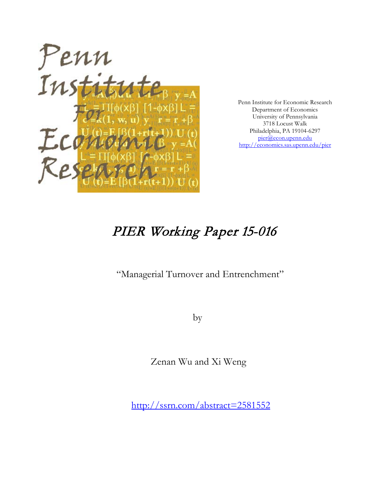

Penn Institute for Economic Research Department of Economics University of Pennsylvania 3718 Locust Walk Philadelphia, PA 19104-6297 [pier@econ.upenn.edu](mailto:pier@econ.upenn.edu) <http://economics.sas.upenn.edu/pier>

# PIER Working Paper 15-016

"Managerial Turnover and Entrenchment"

by

Zenan Wu and Xi Weng

[http://ssrn.com/abstract=2](http://ssrn.com/abstract_id=)581552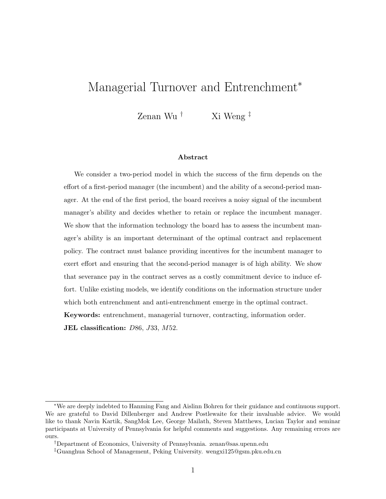# Managerial Turnover and Entrenchment<sup>∗</sup>

Zenan Wu † Xi Weng ‡

#### Abstract

We consider a two-period model in which the success of the firm depends on the effort of a first-period manager (the incumbent) and the ability of a second-period manager. At the end of the first period, the board receives a noisy signal of the incumbent manager's ability and decides whether to retain or replace the incumbent manager. We show that the information technology the board has to assess the incumbent manager's ability is an important determinant of the optimal contract and replacement policy. The contract must balance providing incentives for the incumbent manager to exert effort and ensuring that the second-period manager is of high ability. We show that severance pay in the contract serves as a costly commitment device to induce effort. Unlike existing models, we identify conditions on the information structure under which both entrenchment and anti-entrenchment emerge in the optimal contract. Keywords: entrenchment, managerial turnover, contracting, information order. JEL classification: D86, J33, M52.

<sup>∗</sup>We are deeply indebted to Hanming Fang and Aislinn Bohren for their guidance and continuous support. We are grateful to David Dillenberger and Andrew Postlewaite for their invaluable advice. We would like to thank Navin Kartik, SangMok Lee, George Mailath, Steven Matthews, Lucian Taylor and seminar participants at University of Pennsylvania for helpful comments and suggestions. Any remaining errors are ours.

<sup>†</sup>Department of Economics, University of Pennsylvania. zenan@sas.upenn.edu

<sup>‡</sup>Guanghua School of Management, Peking University. wengxi125@gsm.pku.edu.cn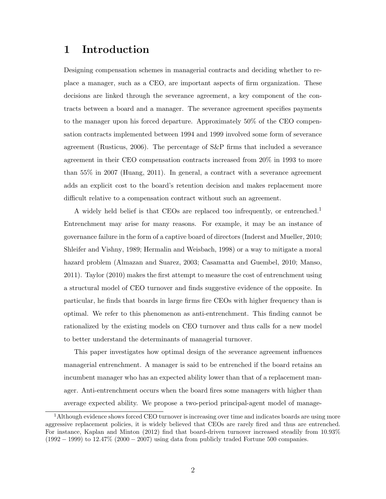# 1 Introduction

Designing compensation schemes in managerial contracts and deciding whether to replace a manager, such as a CEO, are important aspects of firm organization. These decisions are linked through the severance agreement, a key component of the contracts between a board and a manager. The severance agreement specifies payments to the manager upon his forced departure. Approximately 50% of the CEO compensation contracts implemented between 1994 and 1999 involved some form of severance agreement (Rusticus, 2006). The percentage of S&P firms that included a severance agreement in their CEO compensation contracts increased from 20% in 1993 to more than 55% in 2007 (Huang, 2011). In general, a contract with a severance agreement adds an explicit cost to the board's retention decision and makes replacement more difficult relative to a compensation contract without such an agreement.

A widely held belief is that CEOs are replaced too infrequently, or entrenched.<sup>1</sup> Entrenchment may arise for many reasons. For example, it may be an instance of governance failure in the form of a captive board of directors (Inderst and Mueller, 2010; Shleifer and Vishny, 1989; Hermalin and Weisbach, 1998) or a way to mitigate a moral hazard problem (Almazan and Suarez, 2003; Casamatta and Guembel, 2010; Manso, 2011). Taylor (2010) makes the first attempt to measure the cost of entrenchment using a structural model of CEO turnover and finds suggestive evidence of the opposite. In particular, he finds that boards in large firms fire CEOs with higher frequency than is optimal. We refer to this phenomenon as anti-entrenchment. This finding cannot be rationalized by the existing models on CEO turnover and thus calls for a new model to better understand the determinants of managerial turnover.

This paper investigates how optimal design of the severance agreement influences managerial entrenchment. A manager is said to be entrenched if the board retains an incumbent manager who has an expected ability lower than that of a replacement manager. Anti-entrenchment occurs when the board fires some managers with higher than average expected ability. We propose a two-period principal-agent model of manage-

 $1<sup>1</sup>$ Although evidence shows forced CEO turnover is increasing over time and indicates boards are using more aggressive replacement policies, it is widely believed that CEOs are rarely fired and thus are entrenched. For instance, Kaplan and Minton (2012) find that board-driven turnover increased steadily from 10.93% (1992 − 1999) to 12.47% (2000 − 2007) using data from publicly traded Fortune 500 companies.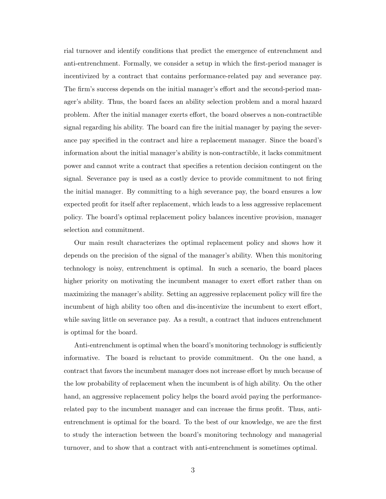rial turnover and identify conditions that predict the emergence of entrenchment and anti-entrenchment. Formally, we consider a setup in which the first-period manager is incentivized by a contract that contains performance-related pay and severance pay. The firm's success depends on the initial manager's effort and the second-period manager's ability. Thus, the board faces an ability selection problem and a moral hazard problem. After the initial manager exerts effort, the board observes a non-contractible signal regarding his ability. The board can fire the initial manager by paying the severance pay specified in the contract and hire a replacement manager. Since the board's information about the initial manager's ability is non-contractible, it lacks commitment power and cannot write a contract that specifies a retention decision contingent on the signal. Severance pay is used as a costly device to provide commitment to not firing the initial manager. By committing to a high severance pay, the board ensures a low expected profit for itself after replacement, which leads to a less aggressive replacement policy. The board's optimal replacement policy balances incentive provision, manager selection and commitment.

Our main result characterizes the optimal replacement policy and shows how it depends on the precision of the signal of the manager's ability. When this monitoring technology is noisy, entrenchment is optimal. In such a scenario, the board places higher priority on motivating the incumbent manager to exert effort rather than on maximizing the manager's ability. Setting an aggressive replacement policy will fire the incumbent of high ability too often and dis-incentivize the incumbent to exert effort, while saving little on severance pay. As a result, a contract that induces entrenchment is optimal for the board.

Anti-entrenchment is optimal when the board's monitoring technology is sufficiently informative. The board is reluctant to provide commitment. On the one hand, a contract that favors the incumbent manager does not increase effort by much because of the low probability of replacement when the incumbent is of high ability. On the other hand, an aggressive replacement policy helps the board avoid paying the performancerelated pay to the incumbent manager and can increase the firms profit. Thus, antientrenchment is optimal for the board. To the best of our knowledge, we are the first to study the interaction between the board's monitoring technology and managerial turnover, and to show that a contract with anti-entrenchment is sometimes optimal.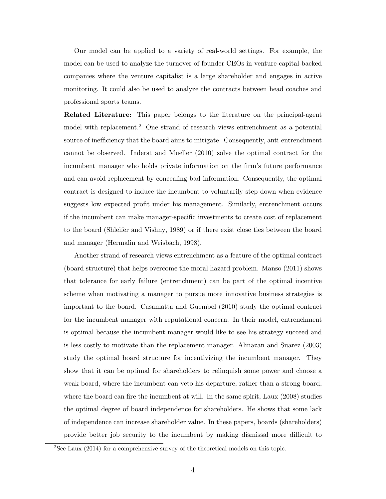Our model can be applied to a variety of real-world settings. For example, the model can be used to analyze the turnover of founder CEOs in venture-capital-backed companies where the venture capitalist is a large shareholder and engages in active monitoring. It could also be used to analyze the contracts between head coaches and professional sports teams.

Related Literature: This paper belongs to the literature on the principal-agent model with replacement.<sup>2</sup> One strand of research views entrenchment as a potential source of inefficiency that the board aims to mitigate. Consequently, anti-entrenchment cannot be observed. Inderst and Mueller (2010) solve the optimal contract for the incumbent manager who holds private information on the firm's future performance and can avoid replacement by concealing bad information. Consequently, the optimal contract is designed to induce the incumbent to voluntarily step down when evidence suggests low expected profit under his management. Similarly, entrenchment occurs if the incumbent can make manager-specific investments to create cost of replacement to the board (Shleifer and Vishny, 1989) or if there exist close ties between the board and manager (Hermalin and Weisbach, 1998).

Another strand of research views entrenchment as a feature of the optimal contract (board structure) that helps overcome the moral hazard problem. Manso (2011) shows that tolerance for early failure (entrenchment) can be part of the optimal incentive scheme when motivating a manager to pursue more innovative business strategies is important to the board. Casamatta and Guembel (2010) study the optimal contract for the incumbent manager with reputational concern. In their model, entrenchment is optimal because the incumbent manager would like to see his strategy succeed and is less costly to motivate than the replacement manager. Almazan and Suarez (2003) study the optimal board structure for incentivizing the incumbent manager. They show that it can be optimal for shareholders to relinquish some power and choose a weak board, where the incumbent can veto his departure, rather than a strong board, where the board can fire the incumbent at will. In the same spirit, Laux (2008) studies the optimal degree of board independence for shareholders. He shows that some lack of independence can increase shareholder value. In these papers, boards (shareholders) provide better job security to the incumbent by making dismissal more difficult to

<sup>2</sup>See Laux (2014) for a comprehensive survey of the theoretical models on this topic.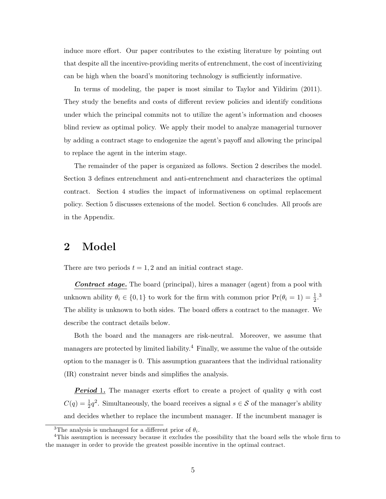induce more effort. Our paper contributes to the existing literature by pointing out that despite all the incentive-providing merits of entrenchment, the cost of incentivizing can be high when the board's monitoring technology is sufficiently informative.

In terms of modeling, the paper is most similar to Taylor and Yildirim (2011). They study the benefits and costs of different review policies and identify conditions under which the principal commits not to utilize the agent's information and chooses blind review as optimal policy. We apply their model to analyze managerial turnover by adding a contract stage to endogenize the agent's payoff and allowing the principal to replace the agent in the interim stage.

The remainder of the paper is organized as follows. Section 2 describes the model. Section 3 defines entrenchment and anti-entrenchment and characterizes the optimal contract. Section 4 studies the impact of informativeness on optimal replacement policy. Section 5 discusses extensions of the model. Section 6 concludes. All proofs are in the Appendix.

# 2 Model

There are two periods  $t = 1, 2$  and an initial contract stage.

**Contract stage.** The board (principal), hires a manager (agent) from a pool with unknown ability  $\theta_i \in \{0, 1\}$  to work for the firm with common prior  $\Pr(\theta_i = 1) = \frac{1}{2}$ . The ability is unknown to both sides. The board offers a contract to the manager. We describe the contract details below.

Both the board and the managers are risk-neutral. Moreover, we assume that managers are protected by limited liability.<sup>4</sup> Finally, we assume the value of the outside option to the manager is 0. This assumption guarantees that the individual rationality (IR) constraint never binds and simplifies the analysis.

**Period 1.** The manager exerts effort to create a project of quality  $q$  with cost  $C(q) = \frac{1}{2}q^2$ . Simultaneously, the board receives a signal  $s \in S$  of the manager's ability and decides whether to replace the incumbent manager. If the incumbent manager is

<sup>&</sup>lt;sup>3</sup>The analysis is unchanged for a different prior of  $\theta_i$ .

<sup>4</sup>This assumption is necessary because it excludes the possibility that the board sells the whole firm to the manager in order to provide the greatest possible incentive in the optimal contract.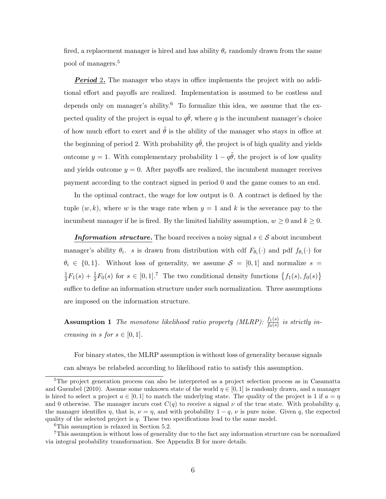fired, a replacement manager is hired and has ability  $\theta_r$  randomly drawn from the same pool of managers.<sup>5</sup>

**Period** 2. The manager who stays in office implements the project with no additional effort and payoffs are realized. Implementation is assumed to be costless and depends only on manager's ability.<sup>6</sup> To formalize this idea, we assume that the expected quality of the project is equal to  $q\tilde{\theta}$ , where q is the incumbent manager's choice of how much effort to exert and  $\theta$  is the ability of the manager who stays in office at the beginning of period 2. With probability  $q\tilde{\theta}$ , the project is of high quality and yields outcome  $y = 1$ . With complementary probability  $1 - q\tilde{\theta}$ , the project is of low quality and yields outcome  $y = 0$ . After payoffs are realized, the incumbent manager receives payment according to the contract signed in period 0 and the game comes to an end.

In the optimal contract, the wage for low output is 0. A contract is defined by the tuple  $(w, k)$ , where w is the wage rate when  $y = 1$  and k is the severance pay to the incumbent manager if he is fired. By the limited liability assumption,  $w \ge 0$  and  $k \ge 0$ .

**Information structure.** The board receives a noisy signal  $s \in \mathcal{S}$  about incumbent manager's ability  $\theta_i$ . s is drawn from distribution with cdf  $F_{\theta_i}(\cdot)$  and pdf  $f_{\theta_i}(\cdot)$  for  $\theta_i \in \{0,1\}$ . Without loss of generality, we assume  $S = [0,1]$  and normalize  $s =$ 1  $\frac{1}{2}F_1(s) + \frac{1}{2}F_0(s)$  for  $s \in [0,1].^7$  The two conditional density functions  $\{f_1(s), f_0(s)\}$ suffice to define an information structure under such normalization. Three assumptions are imposed on the information structure.

**Assumption 1** The monotone likelihood ratio property (MLRP):  $\frac{f_1(s)}{f_0(s)}$  is strictly increasing in s for  $s \in [0,1]$ .

For binary states, the MLRP assumption is without loss of generality because signals can always be relabeled according to likelihood ratio to satisfy this assumption.

<sup>5</sup>The project generation process can also be interpreted as a project selection process as in Casamatta and Guembel (2010). Assume some unknown state of the world  $\eta \in [0, 1]$  is randomly drawn, and a manager is hired to select a project  $a \in [0,1]$  to match the underlying state. The quality of the project is 1 if  $a = \eta$ and 0 otherwise. The manager incurs cost  $C(q)$  to receive a signal  $\nu$  of the true state. With probability q, the manager identifies  $\eta$ , that is,  $\nu = \eta$ , and with probability  $1 - q$ ,  $\nu$  is pure noise. Given q, the expected quality of the selected project is  $q$ . These two specifications lead to the same model.

<sup>6</sup>This assumption is relaxed in Section 5.2.

<sup>7</sup>This assumption is without loss of generality due to the fact any information structure can be normalized via integral probability transformation. See Appendix B for more details.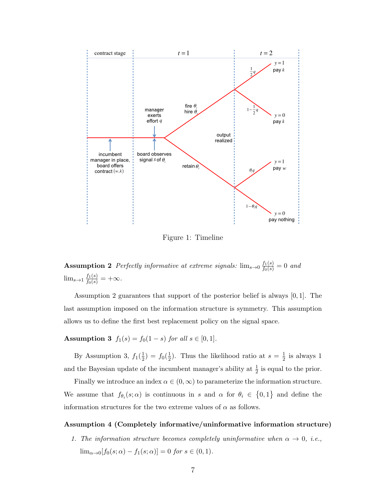

Figure 1: Timeline

**Assumption 2** Perfectly informative at extreme signals:  $\lim_{s\to 0} \frac{f_1(s)}{f_0(s)} = 0$  and  $\lim_{s \to 1} \frac{f_1(s)}{f_0(s)} = +\infty.$ 

Assumption 2 guarantees that support of the posterior belief is always [0, 1]. The last assumption imposed on the information structure is symmetry. This assumption allows us to define the first best replacement policy on the signal space.

# Assumption 3  $f_1(s) = f_0(1-s)$  for all  $s \in [0,1]$ .

By Assumption 3,  $f_1(\frac{1}{2})$  $(\frac{1}{2}) = f_0(\frac{1}{2})$  $\frac{1}{2}$ ). Thus the likelihood ratio at  $s = \frac{1}{2}$  $\frac{1}{2}$  is always 1 and the Bayesian update of the incumbent manager's ability at  $\frac{1}{2}$  is equal to the prior.

Finally we introduce an index  $\alpha \in (0,\infty)$  to parameterize the information structure. We assume that  $f_{\theta_i}(s;\alpha)$  is continuous in s and  $\alpha$  for  $\theta_i \in \{0,1\}$  and define the information structures for the two extreme values of  $\alpha$  as follows.

#### Assumption 4 (Completely informative/uninformative information structure)

1. The information structure becomes completely uninformative when  $\alpha \to 0$ , i.e.,  $\lim_{\alpha \to 0} [f_0(s; \alpha) - f_1(s; \alpha)] = 0$  for  $s \in (0, 1)$ .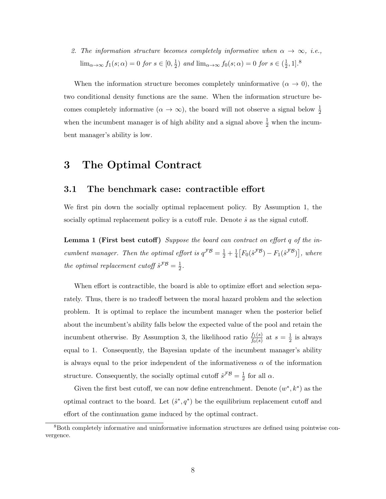2. The information structure becomes completely informative when  $\alpha \to \infty$ , i.e.,  $\lim_{\alpha \to \infty} f_1(s; \alpha) = 0$  for  $s \in [0, \frac{1}{2}]$  $\frac{1}{2}$ ) and  $\lim_{\alpha \to \infty} f_0(s; \alpha) = 0$  for  $s \in (\frac{1}{2})$  $\frac{1}{2}, 1]$ .<sup>8</sup>

When the information structure becomes completely uninformative  $(\alpha \to 0)$ , the two conditional density functions are the same. When the information structure becomes completely informative  $(\alpha \to \infty)$ , the board will not observe a signal below  $\frac{1}{2}$ when the incumbent manager is of high ability and a signal above  $\frac{1}{2}$  when the incumbent manager's ability is low.

# 3 The Optimal Contract

#### 3.1 The benchmark case: contractible effort

We first pin down the socially optimal replacement policy. By Assumption 1, the socially optimal replacement policy is a cutoff rule. Denote  $\hat{s}$  as the signal cutoff.

Lemma 1 (First best cutoff) Suppose the board can contract on effort q of the incumbent manager. Then the optimal effort is  $q^{\mathcal{FB}} = \frac{1}{2} + \frac{1}{4}$  $\frac{1}{4}\left[F_0(\hat{s}^{\mathcal{FB}})-F_1(\hat{s}^{\mathcal{FB}})\right],$  where the optimal replacement cutoff  $\hat{s}^{\mathcal{FB}} = \frac{1}{2}$  $\frac{1}{2}$ .

When effort is contractible, the board is able to optimize effort and selection separately. Thus, there is no tradeoff between the moral hazard problem and the selection problem. It is optimal to replace the incumbent manager when the posterior belief about the incumbent's ability falls below the expected value of the pool and retain the incumbent otherwise. By Assumption 3, the likelihood ratio  $\frac{f_1(s)}{f_0(s)}$  at  $s=\frac{1}{2}$  $\frac{1}{2}$  is always equal to 1. Consequently, the Bayesian update of the incumbent manager's ability is always equal to the prior independent of the informativeness  $\alpha$  of the information structure. Consequently, the socially optimal cutoff  $\hat{s}^{\mathcal{FB}} = \frac{1}{2}$  $rac{1}{2}$  for all  $\alpha$ .

Given the first best cutoff, we can now define entrenchment. Denote  $(w^*, k^*)$  as the optimal contract to the board. Let  $(\hat{s}^*, q^*)$  be the equilibrium replacement cutoff and effort of the continuation game induced by the optimal contract.

<sup>8</sup>Both completely informative and uninformative information structures are defined using pointwise convergence.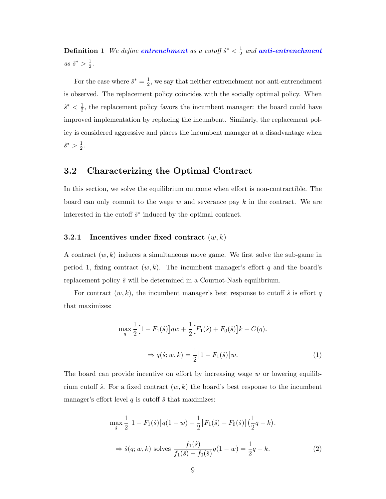**Definition 1** We define **entrenchment** as a cutoff  $\hat{s}^* < \frac{1}{2}$  $\frac{1}{2}$  and **anti-entrenchment**  $as \hat{s}^* > \frac{1}{2}$  $\frac{1}{2}$ .

For the case where  $\hat{s}^* = \frac{1}{2}$  $\frac{1}{2}$ , we say that neither entrenchment nor anti-entrenchment is observed. The replacement policy coincides with the socially optimal policy. When  $\hat{s}^* < \frac{1}{2}$  $\frac{1}{2}$ , the replacement policy favors the incumbent manager: the board could have improved implementation by replacing the incumbent. Similarly, the replacement policy is considered aggressive and places the incumbent manager at a disadvantage when  $\hat{s}^* > \frac{1}{2}$  $rac{1}{2}$ .

## 3.2 Characterizing the Optimal Contract

In this section, we solve the equilibrium outcome when effort is non-contractible. The board can only commit to the wage  $w$  and severance pay  $k$  in the contract. We are interested in the cutoff  $\hat{s}^*$  induced by the optimal contract.

### 3.2.1 Incentives under fixed contract  $(w, k)$

A contract  $(w, k)$  induces a simultaneous move game. We first solve the sub-game in period 1, fixing contract  $(w, k)$ . The incumbent manager's effort q and the board's replacement policy  $\hat{s}$  will be determined in a Cournot-Nash equilibrium.

For contract  $(w, k)$ , the incumbent manager's best response to cutoff  $\hat{s}$  is effort q that maximizes:

$$
\max_{q} \frac{1}{2} \left[ 1 - F_1(\hat{s}) \right] qw + \frac{1}{2} \left[ F_1(\hat{s}) + F_0(\hat{s}) \right] k - C(q).
$$
  

$$
\Rightarrow q(\hat{s}; w, k) = \frac{1}{2} \left[ 1 - F_1(\hat{s}) \right] w.
$$
 (1)

The board can provide incentive on effort by increasing wage  $w$  or lowering equilibrium cutoff  $\hat{s}$ . For a fixed contract  $(w, k)$  the board's best response to the incumbent manager's effort level  $q$  is cutoff  $\hat{s}$  that maximizes:

$$
\max_{\hat{s}} \frac{1}{2} \left[ 1 - F_1(\hat{s}) \right] q(1 - w) + \frac{1}{2} \left[ F_1(\hat{s}) + F_0(\hat{s}) \right] \left( \frac{1}{2} q - k \right).
$$
  
\n
$$
\Rightarrow \hat{s}(q; w, k) \text{ solves } \frac{f_1(\hat{s})}{f_1(\hat{s}) + f_0(\hat{s})} q(1 - w) = \frac{1}{2} q - k.
$$
 (2)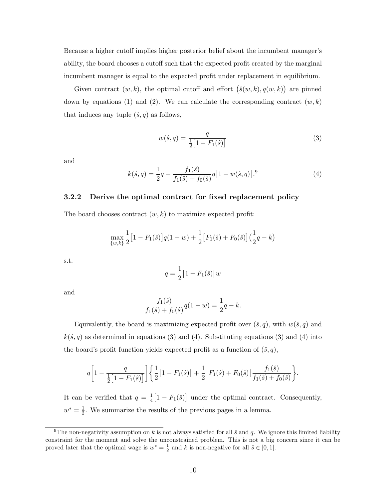Because a higher cutoff implies higher posterior belief about the incumbent manager's ability, the board chooses a cutoff such that the expected profit created by the marginal incumbent manager is equal to the expected profit under replacement in equilibrium.

Given contract  $(w, k)$ , the optimal cutoff and effort  $(\hat{s}(w, k), q(w, k))$  are pinned down by equations (1) and (2). We can calculate the corresponding contract  $(w, k)$ that induces any tuple  $(\hat{s}, q)$  as follows,

$$
w(\hat{s}, q) = \frac{q}{\frac{1}{2} [1 - F_1(\hat{s})]}
$$
(3)

and

$$
k(\hat{s}, q) = \frac{1}{2}q - \frac{f_1(\hat{s})}{f_1(\hat{s}) + f_0(\hat{s})}q[1 - w(\hat{s}, q)].^{9}
$$
\n(4)

#### 3.2.2 Derive the optimal contract for fixed replacement policy

The board chooses contract  $(w, k)$  to maximize expected profit:

$$
\max_{\{w,k\}} \frac{1}{2} \big[1 - F_1(\hat{s})\big] q(1-w) + \frac{1}{2} \big[ F_1(\hat{s}) + F_0(\hat{s}) \big] \big(\frac{1}{2}q - k\big)
$$

s.t.

$$
q = \frac{1}{2} \big[ 1 - F_1(\hat{s}) \big] w
$$

and

$$
\frac{f_1(\hat{s})}{f_1(\hat{s}) + f_0(\hat{s})} q(1 - w) = \frac{1}{2}q - k.
$$

Equivalently, the board is maximizing expected profit over  $(\hat{s}, q)$ , with  $w(\hat{s}, q)$  and  $k(\hat{s}, q)$  as determined in equations (3) and (4). Substituting equations (3) and (4) into the board's profit function yields expected profit as a function of  $(\hat{s}, q)$ ,

$$
q\bigg[1-\frac{q}{\frac{1}{2}\big[1-F_1(\hat{s})\big]}\bigg]\bigg\{\frac{1}{2}\big[1-F_1(\hat{s})\big]+\frac{1}{2}\big[F_1(\hat{s})+F_0(\hat{s})\big]\frac{f_1(\hat{s})}{f_1(\hat{s})+f_0(\hat{s})}\bigg\}.
$$

It can be verified that  $q = \frac{1}{4}$  $\frac{1}{4}[1 - F_1(\hat{s})]$  under the optimal contract. Consequently,  $w^* = \frac{1}{2}$  $\frac{1}{2}$ . We summarize the results of the previous pages in a lemma.

<sup>&</sup>lt;sup>9</sup>The non-negativity assumption on k is not always satisfied for all  $\hat{s}$  and q. We ignore this limited liability constraint for the moment and solve the unconstrained problem. This is not a big concern since it can be proved later that the optimal wage is  $w^* = \frac{1}{2}$  and k is non-negative for all  $\hat{s} \in [0, 1]$ .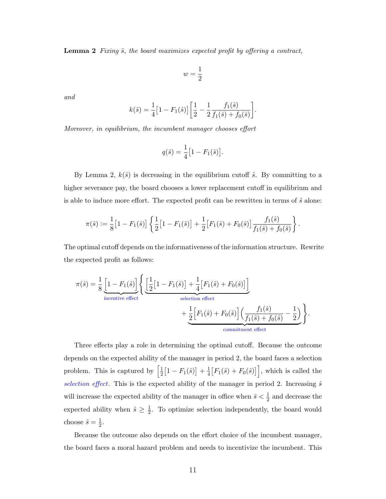**Lemma 2** Fixing  $\hat{s}$ , the board maximizes expected profit by offering a contract,

$$
w=\frac{1}{2}
$$

and

$$
k(\hat{s}) = \frac{1}{4} \left[ 1 - F_1(\hat{s}) \right] \left[ \frac{1}{2} - \frac{1}{2} \frac{f_1(\hat{s})}{f_1(\hat{s}) + f_0(\hat{s})} \right].
$$

Moreover, in equilibrium, the incumbent manager chooses effort

$$
q(\hat{s}) = \frac{1}{4} [1 - F_1(\hat{s})].
$$

By Lemma 2,  $k(\hat{s})$  is decreasing in the equilibrium cutoff  $\hat{s}$ . By committing to a higher severance pay, the board chooses a lower replacement cutoff in equilibrium and is able to induce more effort. The expected profit can be rewritten in terms of  $\hat{s}$  alone:

$$
\pi(\hat{s}) := \frac{1}{8} \big[ 1 - F_1(\hat{s}) \big] \left\{ \frac{1}{2} \big[ 1 - F_1(\hat{s}) \big] + \frac{1}{2} \big[ F_1(\hat{s}) + F_0(\hat{s}) \big] \frac{f_1(\hat{s})}{f_1(\hat{s}) + f_0(\hat{s})} \right\}.
$$

The optimal cutoff depends on the informativeness of the information structure. Rewrite the expected profit as follows:

$$
\pi(\hat{s}) = \frac{1}{8} \underbrace{\left[1 - F_1(\hat{s})\right]}_{\text{incentive effect}} \left\{ \underbrace{\left[\frac{1}{2}\left[1 - F_1(\hat{s})\right] + \frac{1}{4}\left[F_1(\hat{s}) + F_0(\hat{s})\right]\right]}_{\text{selection effect}} + \underbrace{\frac{1}{2}\left[F_1(\hat{s}) + F_0(\hat{s})\right] \left(\frac{f_1(\hat{s})}{f_1(\hat{s}) + f_0(\hat{s})} - \frac{1}{2}\right)}_{\text{commitment effect}} \right\}.
$$

Three effects play a role in determining the optimal cutoff. Because the outcome depends on the expected ability of the manager in period 2, the board faces a selection problem. This is captured by  $\left[\frac{1}{2}\right]$  $\frac{1}{2}[1-F_1(\hat{s})]+\frac{1}{4}$  $\frac{1}{4} [F_1(\hat{s}) + F_0(\hat{s})]$ , which is called the selection effect. This is the expected ability of the manager in period 2. Increasing  $\hat{s}$ will increase the expected ability of the manager in office when  $\hat{s} < \frac{1}{2}$  and decrease the expected ability when  $\hat{s} \geq \frac{1}{2}$  $\frac{1}{2}$ . To optimize selection independently, the board would choose  $\hat{s} = \frac{1}{2}$  $\frac{1}{2}$ .

Because the outcome also depends on the effort choice of the incumbent manager, the board faces a moral hazard problem and needs to incentivize the incumbent. This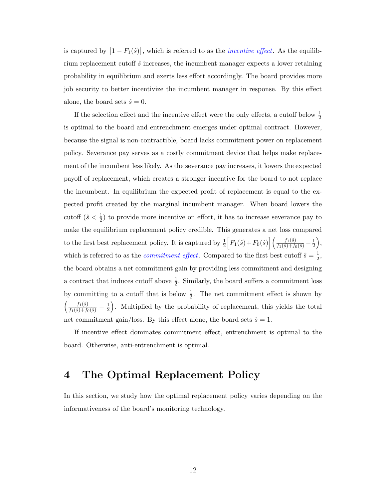is captured by  $\left[1 - F_1(\hat{s})\right]$ , which is referred to as the *incentive effect*. As the equilibrium replacement cutoff  $\hat{s}$  increases, the incumbent manager expects a lower retaining probability in equilibrium and exerts less effort accordingly. The board provides more job security to better incentivize the incumbent manager in response. By this effect alone, the board sets  $\hat{s} = 0$ .

If the selection effect and the incentive effect were the only effects, a cutoff below  $\frac{1}{2}$ is optimal to the board and entrenchment emerges under optimal contract. However, because the signal is non-contractible, board lacks commitment power on replacement policy. Severance pay serves as a costly commitment device that helps make replacement of the incumbent less likely. As the severance pay increases, it lowers the expected payoff of replacement, which creates a stronger incentive for the board to not replace the incumbent. In equilibrium the expected profit of replacement is equal to the expected profit created by the marginal incumbent manager. When board lowers the cutoff  $(\hat{s} < \frac{1}{2})$  to provide more incentive on effort, it has to increase severance pay to make the equilibrium replacement policy credible. This generates a net loss compared to the first best replacement policy. It is captured by  $\frac{1}{2} \left[ F_1(\hat{s}) + F_0(\hat{s}) \right] \left( \frac{f_1(\hat{s})}{f_1(\hat{s}) + f_0(\hat{s})} - \frac{1}{2} \right)$  $\frac{1}{2}$ , which is referred to as the *commitment effect*. Compared to the first best cutoff  $\hat{s} = \frac{1}{2}$  $\frac{1}{2}$ the board obtains a net commitment gain by providing less commitment and designing a contract that induces cutoff above  $\frac{1}{2}$ . Similarly, the board suffers a commitment loss by committing to a cutoff that is below  $\frac{1}{2}$ . The net commitment effect is shown by  $\left(\frac{f_1(\hat{s})}{f_1(\hat{s})+f_0(\hat{s})}-\frac{1}{2}\right)$  $\frac{1}{2}$ . Multiplied by the probability of replacement, this yields the total net commitment gain/loss. By this effect alone, the board sets  $\hat{s} = 1$ .

If incentive effect dominates commitment effect, entrenchment is optimal to the board. Otherwise, anti-entrenchment is optimal.

# 4 The Optimal Replacement Policy

In this section, we study how the optimal replacement policy varies depending on the informativeness of the board's monitoring technology.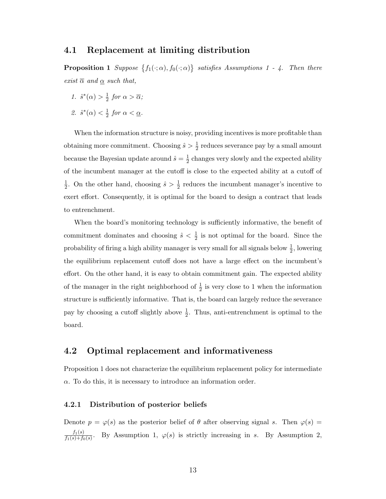## 4.1 Replacement at limiting distribution

**Proposition 1** Suppose  $\{f_1(\cdot; \alpha), f_0(\cdot; \alpha)\}$  satisfies Assumptions 1 - 4. Then there exist  $\overline{\alpha}$  and  $\underline{\alpha}$  such that,

1.  $\hat{s}^*(\alpha) > \frac{1}{2}$  $rac{1}{2}$  for  $\alpha > \overline{\alpha}$ ;

2. 
$$
\hat{s}^*(\alpha) < \frac{1}{2}
$$
 for  $\alpha < \underline{\alpha}$ .

When the information structure is noisy, providing incentives is more profitable than obtaining more commitment. Choosing  $\hat{s} > \frac{1}{2}$  reduces severance pay by a small amount because the Bayesian update around  $\hat{s} = \frac{1}{2}$  $\frac{1}{2}$  changes very slowly and the expected ability of the incumbent manager at the cutoff is close to the expected ability at a cutoff of 1  $\frac{1}{2}$ . On the other hand, choosing  $\hat{s} > \frac{1}{2}$  reduces the incumbent manager's incentive to exert effort. Consequently, it is optimal for the board to design a contract that leads to entrenchment.

When the board's monitoring technology is sufficiently informative, the benefit of commitment dominates and choosing  $\hat{s} < \frac{1}{2}$  is not optimal for the board. Since the probability of firing a high ability manager is very small for all signals below  $\frac{1}{2}$ , lowering the equilibrium replacement cutoff does not have a large effect on the incumbent's effort. On the other hand, it is easy to obtain commitment gain. The expected ability of the manager in the right neighborhood of  $\frac{1}{2}$  is very close to 1 when the information structure is sufficiently informative. That is, the board can largely reduce the severance pay by choosing a cutoff slightly above  $\frac{1}{2}$ . Thus, anti-entrenchment is optimal to the board.

### 4.2 Optimal replacement and informativeness

Proposition 1 does not characterize the equilibrium replacement policy for intermediate  $\alpha$ . To do this, it is necessary to introduce an information order.

#### 4.2.1 Distribution of posterior beliefs

Denote  $p = \varphi(s)$  as the posterior belief of  $\theta$  after observing signal s. Then  $\varphi(s)$  =  $f_1(s)$  $\frac{J_1(s)}{f_1(s)+f_0(s)}$ . By Assumption 1,  $\varphi(s)$  is strictly increasing in s. By Assumption 2,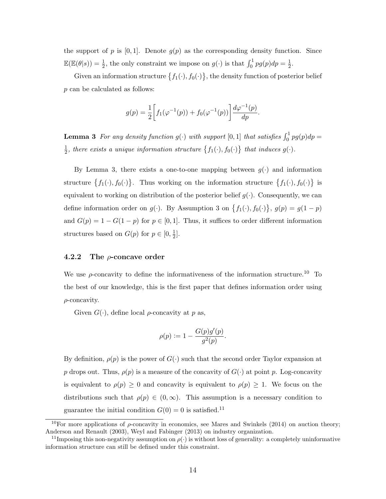the support of p is  $[0, 1]$ . Denote  $g(p)$  as the corresponding density function. Since  $\mathbb{E}(\mathbb{E}(\theta|s)) = \frac{1}{2}$ , the only constraint we impose on  $g(\cdot)$  is that  $\int_0^1 pg(p)dp = \frac{1}{2}$  $\frac{1}{2}$ .

Given an information structure  $\{f_1(\cdot), f_0(\cdot)\}\$ , the density function of posterior belief p can be calculated as follows:

$$
g(p) = \frac{1}{2} \left[ f_1(\varphi^{-1}(p)) + f_0(\varphi^{-1}(p)) \right] \frac{d\varphi^{-1}(p)}{dp}.
$$

**Lemma 3** For any density function  $g(\cdot)$  with support  $[0,1]$  that satisfies  $\int_0^1 pg(p)dp =$ 1  $\frac{1}{2}$ , there exists a unique information structure  $\{f_1(\cdot), f_0(\cdot)\}\,$  that induces  $g(\cdot)$ .

By Lemma 3, there exists a one-to-one mapping between  $g(\cdot)$  and information structure  $\{f_1(\cdot), f_0(\cdot)\}\$ . Thus working on the information structure  $\{f_1(\cdot), f_0(\cdot)\}\$ is equivalent to working on distribution of the posterior belief  $g(\cdot)$ . Consequently, we can define information order on  $g(\cdot)$ . By Assumption 3 on  $\{f_1(\cdot), f_0(\cdot)\}, g(p) = g(1-p)$ and  $G(p) = 1 - G(1 - p)$  for  $p \in [0, 1]$ . Thus, it suffices to order different information structures based on  $G(p)$  for  $p \in [0, \frac{1}{2}]$  $\frac{1}{2}$ .

#### 4.2.2 The  $\rho$ -concave order

We use  $\rho$ -concavity to define the informativeness of the information structure.<sup>10</sup> To the best of our knowledge, this is the first paper that defines information order using  $\rho$ -concavity.

Given  $G(\cdot)$ , define local *ρ*-concavity at *p* as,

$$
\rho(p) := 1 - \frac{G(p)g'(p)}{g^2(p)}.
$$

By definition,  $\rho(p)$  is the power of  $G(\cdot)$  such that the second order Taylor expansion at p drops out. Thus,  $\rho(p)$  is a measure of the concavity of  $G(\cdot)$  at point p. Log-concavity is equivalent to  $\rho(p) \geq 0$  and concavity is equivalent to  $\rho(p) \geq 1$ . We focus on the distributions such that  $\rho(p) \in (0,\infty)$ . This assumption is a necessary condition to guarantee the initial condition  $G(0) = 0$  is satisfied.<sup>11</sup>

<sup>&</sup>lt;sup>10</sup>For more applications of  $\rho$ -concavity in economics, see Mares and Swinkels (2014) on auction theory; Anderson and Renault (2003), Weyl and Fabinger (2013) on industry organization.

<sup>&</sup>lt;sup>11</sup>Imposing this non-negativity assumption on  $\rho(\cdot)$  is without loss of generality: a completely uninformative information structure can still be defined under this constraint.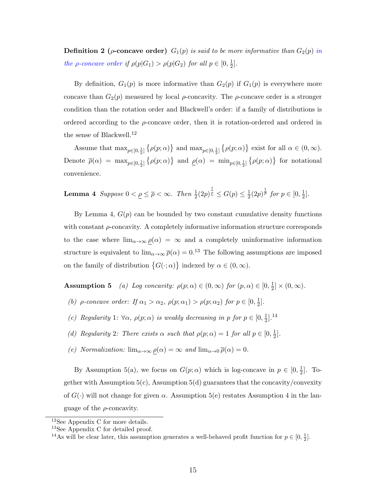**Definition 2** ( $\rho$ -concave order)  $G_1(p)$  is said to be more informative than  $G_2(p)$  in the *ρ*-concave order if  $\rho(p|G_1) > \rho(p|G_2)$  for all  $p \in [0, \frac{1}{2}]$  $\frac{1}{2}$ .

By definition,  $G_1(p)$  is more informative than  $G_2(p)$  if  $G_1(p)$  is everywhere more concave than  $G_2(p)$  measured by local  $\rho$ -concavity. The  $\rho$ -concave order is a stronger condition than the rotation order and Blackwell's order: if a family of distributions is ordered according to the  $\rho$ -concave order, then it is rotation-ordered and ordered in the sense of Blackwell.<sup>12</sup>

Assume that  $\max_{p\in[0,\frac{1}{2}]} \{\rho(p;\alpha)\}\$  and  $\max_{p\in[0,\frac{1}{2}]} \{\rho(p;\alpha)\}\$ exist for all  $\alpha \in (0,\infty)$ . Denote  $\overline{\rho}(\alpha) = \max_{p \in [0, \frac{1}{2}]} (\rho(p; \alpha))$  and  $\rho(\alpha) = \min_{p \in [0, \frac{1}{2}]} (\rho(p; \alpha))$  for notational convenience.

**Lemma 4** Suppose 
$$
0 < \underline{\rho} \le \overline{\rho} < \infty
$$
. Then  $\frac{1}{2}(2p)^{\frac{1}{\underline{\rho}}} \le G(p) \le \frac{1}{2}(2p)^{\frac{1}{\underline{\rho}}}$  for  $p \in [0, \frac{1}{2}].$ 

By Lemma 4,  $G(p)$  can be bounded by two constant cumulative density functions with constant ρ-concavity. A completely informative information structure corresponds to the case where  $\lim_{\alpha\to\infty}\rho(\alpha) = \infty$  and a completely uninformative information structure is equivalent to  $\lim_{\alpha\to\infty} \bar{\rho}(\alpha) = 0^{13}$ . The following assumptions are imposed on the family of distribution  $\{G(\cdot; \alpha)\}\$ indexed by  $\alpha \in (0, \infty)$ .

**Assumption 5** (a) Log concavity:  $\rho(p; \alpha) \in (0, \infty)$  for  $(p, \alpha) \in [0, \frac{1}{2}]$  $\frac{1}{2}]\times (0,\infty).$ 

- (b) *ρ*-concave order: If  $\alpha_1 > \alpha_2$ ,  $\rho(p; \alpha_1) > \rho(p; \alpha_2)$  for  $p \in [0, \frac{1}{2})$  $\frac{1}{2}$ .
- (c) Regularity 1:  $\forall \alpha, \rho(p; \alpha)$  is weakly decreasing in p for  $p \in [0, \frac{1}{2}]$  $\frac{1}{2}$ ].<sup>14</sup>
- (d) Regularity 2: There exists  $\alpha$  such that  $\rho(p;\alpha) = 1$  for all  $p \in [0, \frac{1}{2}]$  $\frac{1}{2}$ .
- (e) Normalization:  $\lim_{\alpha \to \infty} \underline{\rho}(\alpha) = \infty$  and  $\lim_{\alpha \to 0} \overline{\rho}(\alpha) = 0$ .

By Assumption 5(a), we focus on  $G(p;\alpha)$  which is log-concave in  $p \in [0, \frac{1}{2}]$  $\frac{1}{2}$ . Together with Assumption  $5(c)$ , Assumption  $5(d)$  guarantees that the concavity/convexity of  $G(\cdot)$  will not change for given  $\alpha$ . Assumption 5(e) restates Assumption 4 in the language of the  $\rho$ -concavity.

<sup>12</sup>See Appendix C for more details.

<sup>&</sup>lt;sup>13</sup>See Appendix C for detailed proof.

<sup>&</sup>lt;sup>14</sup>As will be clear later, this assumption generates a well-behaved profit function for  $p \in [0, \frac{1}{2}]$ .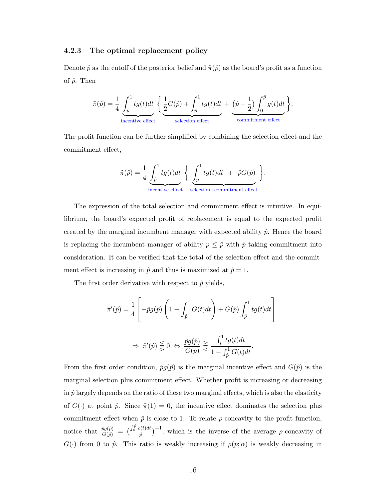#### 4.2.3 The optimal replacement policy

Denote  $\hat{p}$  as the cutoff of the posterior belief and  $\tilde{\pi}(\hat{p})$  as the board's profit as a function of  $\hat{p}$ . Then

$$
\tilde{\pi}(\hat{p}) = \frac{1}{4} \underbrace{\int_{\hat{p}}^1 tg(t)dt}_{\text{incentive effect}} \left\{ \underbrace{\frac{1}{2}G(\hat{p}) + \int_{\hat{p}}^1 tg(t)dt}_{\text{selection effect}} + \underbrace{\left(\hat{p} - \frac{1}{2}\right) \int_{0}^{\hat{p}} g(t)dt}_{\text{commitment effect}} \right\}.
$$

The profit function can be further simplified by combining the selection effect and the commitment effect,

$$
\tilde{\pi}(\hat{p}) = \frac{1}{4} \underbrace{\int_{\hat{p}}^{1} t g(t) dt}_{\text{incentive effect}} \left\{ \underbrace{\int_{\hat{p}}^{1} t g(t) dt}_{\text{selection} + \text{commitment effect}} + \hat{p} G(\hat{p}) \right\}.
$$

The expression of the total selection and commitment effect is intuitive. In equilibrium, the board's expected profit of replacement is equal to the expected profit created by the marginal incumbent manager with expected ability  $\hat{p}$ . Hence the board is replacing the incumbent manager of ability  $p \leq \hat{p}$  with  $\hat{p}$  taking commitment into consideration. It can be verified that the total of the selection effect and the commitment effect is increasing in  $\hat{p}$  and thus is maximized at  $\hat{p} = 1$ .

The first order derivative with respect to  $\hat{p}$  yields,

$$
\tilde{\pi}'(\hat{p}) = \frac{1}{4} \left[ -\hat{p}g(\hat{p}) \left( 1 - \int_{\hat{p}}^1 G(t)dt \right) + G(\hat{p}) \int_{\hat{p}}^1 tg(t)dt \right].
$$
  

$$
\Rightarrow \tilde{\pi}'(\hat{p}) \leq 0 \iff \frac{\hat{p}g(\hat{p})}{G(\hat{p})} \geq \frac{\int_{\hat{p}}^1 tg(t)dt}{\hat{p}^1 \hat{p}^1 \hat{p}^1 \hat{p}^1 \hat{p}^1 \hat{p}^1 \hat{p}^1 \hat{p}^1 \hat{p}^1 \hat{p}^1 \hat{p}^1 \hat{p}^1 \hat{p}^1 \hat{p}^1 \hat{p}^1 \hat{p}^1 \hat{p}^1 \hat{p}^1 \hat{p}^1 \hat{p}^1 \hat{p}^1 \hat{p}^1 \hat{p}^1 \hat{p}^1 \hat{p}^1 \hat{p}^1 \hat{p}^1 \hat{p}^1 \hat{p}^1 \hat{p}^1 \hat{p}^1 \hat{p}^1 \hat{p}^1 \hat{p}^1 \hat{p}^1 \hat{p}^1 \hat{p}^1 \hat{p}^1 \hat{p}^1 \hat{p}^1 \hat{p}^1 \hat{p}^1 \hat{p}^1 \hat{p}^1 \hat{p}^1 \hat{p}^1 \hat{p}^1 \hat{p}^1 \hat{p}^1 \hat{p}^1 \hat{p}^1 \hat{p}^1 \hat{p}^1 \hat{p}^1 \hat{p}^1 \hat{p}^1 \hat{p}^1 \hat{p}^1 \hat{p}^1 \hat{p}^1 \hat{p}^1 \hat{p}^1 \hat{p}^1 \hat{p}^1 \hat{p}^1 \hat{p}^1 \hat{p}^1 \hat{p}^1 \hat{p}^1 \hat{p}^1 \hat{p}^1 \hat{p}^1 \hat{p}^1 \hat{p}^1 \hat{p}^1 \hat{p}^1 \hat{p}^1 \hat{p}^1 \hat{p}^1 \hat{p}^1 \hat{p}^1 \hat{p}^1 \hat{p}^1 \hat{p}^1 \hat{p}^1 \hat{p}^1 \hat{p}^1
$$

 $G(\hat p)$ 

 $1-\int_{\hat{p}}^1 G(t)dt$ 

From the first order condition,  $\hat{p}g(\hat{p})$  is the marginal incentive effect and  $G(\hat{p})$  is the marginal selection plus commitment effect. Whether profit is increasing or decreasing in  $\hat{p}$  largely depends on the ratio of these two marginal effects, which is also the elasticity of  $G(\cdot)$  at point  $\hat{p}$ . Since  $\tilde{\pi}(1) = 0$ , the incentive effect dominates the selection plus commitment effect when  $\hat{p}$  is close to 1. To relate  $\rho$ -concavity to the profit function, notice that  $\frac{\hat{p}g(\hat{p})}{G(\hat{p})} = \left(\frac{\int_0^{\hat{p}} \rho(t)dt}{\hat{p}}\right)$  $\frac{\rho(t)dt}{\hat{p}}$   $^{-1}$ , which is the inverse of the average  $\rho$ -concavity of  $G(\cdot)$  from 0 to  $\hat{p}$ . This ratio is weakly increasing if  $\rho(p;\alpha)$  is weakly decreasing in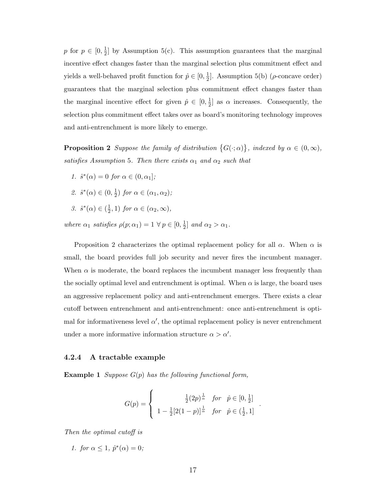p for  $p \in [0, \frac{1}{2}]$  $\frac{1}{2}$  by Assumption 5(c). This assumption guarantees that the marginal incentive effect changes faster than the marginal selection plus commitment effect and yields a well-behaved profit function for  $\hat{p} \in [0, \frac{1}{2}]$  $\frac{1}{2}$ . Assumption 5(b) ( $\rho$ -concave order) guarantees that the marginal selection plus commitment effect changes faster than the marginal incentive effect for given  $\hat{p} \in [0, \frac{1}{2}]$  $\frac{1}{2}$  as  $\alpha$  increases. Consequently, the selection plus commitment effect takes over as board's monitoring technology improves and anti-entrenchment is more likely to emerge.

**Proposition 2** Suppose the family of distribution  $\{G(\cdot; \alpha)\}\$ , indexed by  $\alpha \in (0, \infty)$ , satisfies Assumption 5. Then there exists  $\alpha_1$  and  $\alpha_2$  such that

- 1.  $\hat{s}^*(\alpha) = 0$  for  $\alpha \in (0, \alpha_1]$ ;
- 2.  $\hat{s}^*(\alpha) \in (0, \frac{1}{2})$  $(\frac{1}{2})$  for  $\alpha \in (\alpha_1, \alpha_2);$
- 3.  $\hat{s}^*(\alpha) \in (\frac{1}{2})$  $(\frac{1}{2}, 1)$  for  $\alpha \in (\alpha_2, \infty)$ ,

where  $\alpha_1$  satisfies  $\rho(p; \alpha_1) = 1 \ \forall \ p \in [0, \frac{1}{2}]$  $\frac{1}{2}$  and  $\alpha_2 > \alpha_1$ .

Proposition 2 characterizes the optimal replacement policy for all  $\alpha$ . When  $\alpha$  is small, the board provides full job security and never fires the incumbent manager. When  $\alpha$  is moderate, the board replaces the incumbent manager less frequently than the socially optimal level and entrenchment is optimal. When  $\alpha$  is large, the board uses an aggressive replacement policy and anti-entrenchment emerges. There exists a clear cutoff between entrenchment and anti-entrenchment: once anti-entrenchment is optimal for informativeness level  $\alpha'$ , the optimal replacement policy is never entrenchment under a more informative information structure  $\alpha > \alpha'$ .

#### 4.2.4 A tractable example

**Example 1** Suppose  $G(p)$  has the following functional form,

$$
G(p) = \begin{cases} \frac{\frac{1}{2}(2p)^{\frac{1}{\alpha}}}{1 - \frac{1}{2}[2(1-p)]^{\frac{1}{\alpha}}} & \text{for} \quad \hat{p} \in (\frac{1}{2}, 1] \\ 1 - \frac{1}{2}[2(1-p)]^{\frac{1}{\alpha}} & \text{for} \quad \hat{p} \in (\frac{1}{2}, 1] \end{cases}.
$$

Then the optimal cutoff is

1. for  $\alpha \leq 1$ ,  $\hat{p}^*(\alpha) = 0$ ;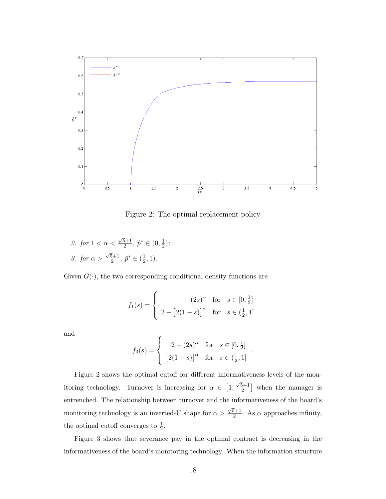

Figure 2: The optimal replacement policy

2. for  $1 < \alpha <$  $\sqrt{5}+1$  $\frac{5+1}{2}, \hat{p}^* \in (0, \frac{1}{2})$  $(\frac{1}{2})$ ; 3. for  $\alpha >$  $\sqrt{5}+1$  $\frac{5+1}{2}, \hat{p}^* \in (\frac{1}{2})$  $(\frac{1}{2}, 1).$ 

Given  $G(\cdot)$ , the two corresponding conditional density functions are

$$
f_1(s) = \begin{cases} (2s)^{\alpha} & \text{for } s \in [0, \frac{1}{2}] \\ 2 - [2(1-s)]^{\alpha} & \text{for } s \in (\frac{1}{2}, 1] \end{cases}
$$

and

$$
f_0(s) = \begin{cases} 2 - (2s)^{\alpha} & \text{for } s \in [0, \frac{1}{2}] \\ \left[2(1-s)\right]^{\alpha} & \text{for } s \in (\frac{1}{2}, 1] \end{cases}
$$

.

Figure 2 shows the optimal cutoff for different informativeness levels of the monitoring technology. Turnover is increasing for  $\alpha \in [1,$  $\sqrt{5}+1$  $\left[\frac{5+1}{2}\right]$  when the manager is entrenched. The relationship between turnover and the informativeness of the board's monitoring technology is an inverted-U shape for  $\alpha >$  $\sqrt{5}+1$  $\frac{5+1}{2}$ . As  $\alpha$  approaches infinity, the optimal cutoff converges to  $\frac{1}{2}$ .

Figure 3 shows that severance pay in the optimal contract is decreasing in the informativeness of the board's monitoring technology. When the information structure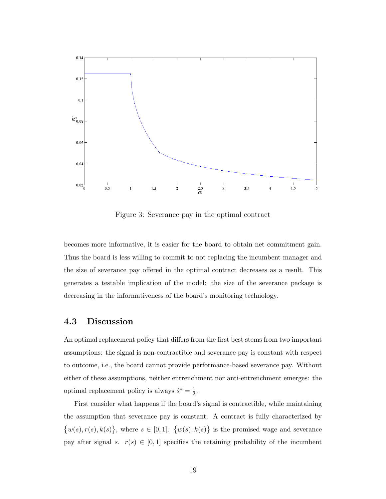

Figure 3: Severance pay in the optimal contract

becomes more informative, it is easier for the board to obtain net commitment gain. Thus the board is less willing to commit to not replacing the incumbent manager and the size of severance pay offered in the optimal contract decreases as a result. This generates a testable implication of the model: the size of the severance package is decreasing in the informativeness of the board's monitoring technology.

### 4.3 Discussion

An optimal replacement policy that differs from the first best stems from two important assumptions: the signal is non-contractible and severance pay is constant with respect to outcome, i.e., the board cannot provide performance-based severance pay. Without either of these assumptions, neither entrenchment nor anti-entrenchment emerges: the optimal replacement policy is always  $\hat{s}^* = \frac{1}{2}$  $\frac{1}{2}$ .

First consider what happens if the board's signal is contractible, while maintaining the assumption that severance pay is constant. A contract is fully characterized by  $\{w(s), r(s), k(s)\}\,$ , where  $s \in [0,1]$ .  $\{w(s), k(s)\}\$ is the promised wage and severance pay after signal s.  $r(s) \in [0,1]$  specifies the retaining probability of the incumbent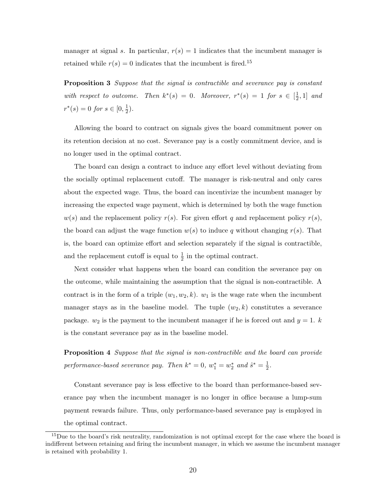manager at signal s. In particular,  $r(s) = 1$  indicates that the incumbent manager is retained while  $r(s) = 0$  indicates that the incumbent is fired.<sup>15</sup>

Proposition 3 Suppose that the signal is contractible and severance pay is constant with respect to outcome. Then  $k^*(s) = 0$ . Moreover,  $r^*(s) = 1$  for  $s \in \left[\frac{1}{2}\right]$  $\frac{1}{2}, 1]$  and  $r^*(s) = 0$  for  $s \in [0, \frac{1}{2}]$  $(\frac{1}{2})$ .

Allowing the board to contract on signals gives the board commitment power on its retention decision at no cost. Severance pay is a costly commitment device, and is no longer used in the optimal contract.

The board can design a contract to induce any effort level without deviating from the socially optimal replacement cutoff. The manager is risk-neutral and only cares about the expected wage. Thus, the board can incentivize the incumbent manager by increasing the expected wage payment, which is determined by both the wage function  $w(s)$  and the replacement policy  $r(s)$ . For given effort q and replacement policy  $r(s)$ , the board can adjust the wage function  $w(s)$  to induce q without changing  $r(s)$ . That is, the board can optimize effort and selection separately if the signal is contractible, and the replacement cutoff is equal to  $\frac{1}{2}$  in the optimal contract.

Next consider what happens when the board can condition the severance pay on the outcome, while maintaining the assumption that the signal is non-contractible. A contract is in the form of a triple  $(w_1, w_2, k)$ .  $w_1$  is the wage rate when the incumbent manager stays as in the baseline model. The tuple  $(w_2, k)$  constitutes a severance package.  $w_2$  is the payment to the incumbent manager if he is forced out and  $y = 1$ . is the constant severance pay as in the baseline model.

Proposition 4 Suppose that the signal is non-contractible and the board can provide performance-based severance pay. Then  $k^* = 0$ ,  $w_1^* = w_2^*$  and  $\hat{s}^* = \frac{1}{2}$  $\frac{1}{2}$ .

Constant severance pay is less effective to the board than performance-based severance pay when the incumbent manager is no longer in office because a lump-sum payment rewards failure. Thus, only performance-based severance pay is employed in the optimal contract.

<sup>&</sup>lt;sup>15</sup>Due to the board's risk neutrality, randomization is not optimal except for the case where the board is indifferent between retaining and firing the incumbent manager, in which we assume the incumbent manager is retained with probability 1.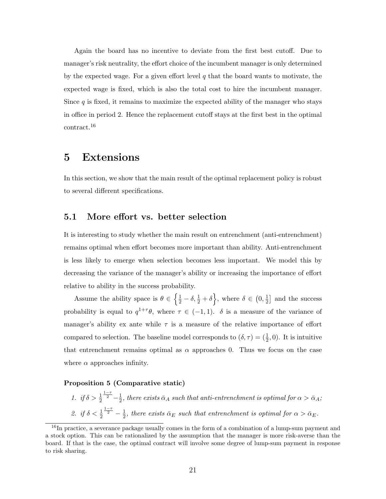Again the board has no incentive to deviate from the first best cutoff. Due to manager's risk neutrality, the effort choice of the incumbent manager is only determined by the expected wage. For a given effort level  $q$  that the board wants to motivate, the expected wage is fixed, which is also the total cost to hire the incumbent manager. Since  $q$  is fixed, it remains to maximize the expected ability of the manager who stays in office in period 2. Hence the replacement cutoff stays at the first best in the optimal contract.<sup>16</sup>

# 5 Extensions

In this section, we show that the main result of the optimal replacement policy is robust to several different specifications.

### 5.1 More effort vs. better selection

It is interesting to study whether the main result on entrenchment (anti-entrenchment) remains optimal when effort becomes more important than ability. Anti-entrenchment is less likely to emerge when selection becomes less important. We model this by decreasing the variance of the manager's ability or increasing the importance of effort relative to ability in the success probability.

Assume the ability space is  $\theta \in \left\{\frac{1}{2} - \delta, \frac{1}{2} + \delta\right\}$ , where  $\delta \in (0, \frac{1}{2})$  $\frac{1}{2}$  and the success probability is equal to  $q^{1+\tau}\theta$ , where  $\tau \in (-1,1)$ .  $\delta$  is a measure of the variance of manager's ability ex ante while  $\tau$  is a measure of the relative importance of effort compared to selection. The baseline model corresponds to  $(\delta, \tau) = (\frac{1}{2}, 0)$ . It is intuitive that entrenchment remains optimal as  $\alpha$  approaches 0. Thus we focus on the case where  $\alpha$  approaches infinity.

#### Proposition 5 (Comparative static)

1. *if*  $\delta > \frac{1}{2}$  $\frac{1-\tau}{2}$  -  $\frac{1}{2}$  $\frac{1}{2},$  there exists  $\bar{\alpha}_A$  such that anti-entrenchment is optimal for  $\alpha > \bar{\alpha}_A;$ 2. if  $\delta < \frac{1}{2}$  $rac{1-\tau}{2} - \frac{1}{2}$  $\frac{1}{2}$ , there exists  $\bar{\alpha}_E$  such that entrenchment is optimal for  $\alpha > \bar{\alpha}_E$ .

 $16$ In practice, a severance package usually comes in the form of a combination of a lump-sum payment and a stock option. This can be rationalized by the assumption that the manager is more risk-averse than the board. If that is the case, the optimal contract will involve some degree of lump-sum payment in response to risk sharing.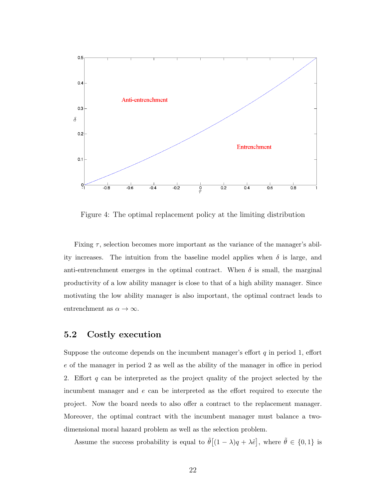

Figure 4: The optimal replacement policy at the limiting distribution

Fixing  $\tau$ , selection becomes more important as the variance of the manager's ability increases. The intuition from the baseline model applies when  $\delta$  is large, and anti-entrenchment emerges in the optimal contract. When  $\delta$  is small, the marginal productivity of a low ability manager is close to that of a high ability manager. Since motivating the low ability manager is also important, the optimal contract leads to entrenchment as  $\alpha \to \infty$ .

### 5.2 Costly execution

Suppose the outcome depends on the incumbent manager's effort  $q$  in period 1, effort e of the manager in period 2 as well as the ability of the manager in office in period 2. Effort  $q$  can be interpreted as the project quality of the project selected by the incumbent manager and e can be interpreted as the effort required to execute the project. Now the board needs to also offer a contract to the replacement manager. Moreover, the optimal contract with the incumbent manager must balance a twodimensional moral hazard problem as well as the selection problem.

Assume the success probability is equal to  $\tilde{\theta}[(1-\lambda)q + \lambda \tilde{e}]$ , where  $\tilde{\theta} \in \{0,1\}$  is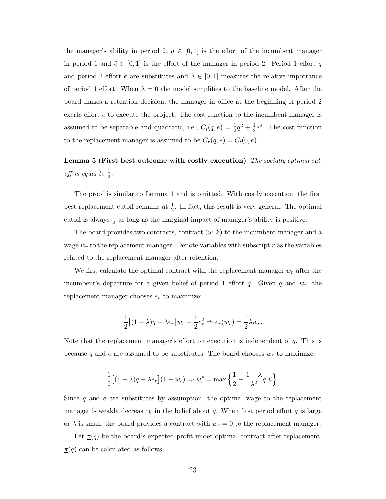the manager's ability in period 2,  $q \in [0,1]$  is the effort of the incumbent manager in period 1 and  $\tilde{e} \in [0,1]$  is the effort of the manager in period 2. Period 1 effort q and period 2 effort e are substitutes and  $\lambda \in [0,1]$  measures the relative importance of period 1 effort. When  $\lambda = 0$  the model simplifies to the baseline model. After the board makes a retention decision, the manager in office at the beginning of period 2 exerts effort e to execute the project. The cost function to the incumbent manager is assumed to be separable and quadratic, i.e.,  $C_i(q, e) = \frac{1}{2}q^2 + \frac{1}{2}$  $\frac{1}{2}e^2$ . The cost function to the replacement manager is assumed to be  $C_r(q, e) = C_i(0, e)$ .

# Lemma 5 (First best outcome with costly execution) The socially optimal cutoff is equal to  $\frac{1}{2}$ .

The proof is similar to Lemma 1 and is omitted. With costly execution, the first best replacement cutoff remains at  $\frac{1}{2}$ . In fact, this result is very general. The optimal cutoff is always  $\frac{1}{2}$  as long as the marginal impact of manager's ability is positive.

The board provides two contracts, contract  $(w, k)$  to the incumbent manager and a wage  $w_r$  to the replacement manager. Denote variables with subscript r as the variables related to the replacement manager after retention.

We first calculate the optimal contract with the replacement manager  $w_r$  after the incumbent's departure for a given belief of period 1 effort  $q$ . Given  $q$  and  $w_r$ , the replacement manager chooses  $e_r$  to maximize:

$$
\frac{1}{2} \left[ (1 - \lambda)q + \lambda e_r \right] w_r - \frac{1}{2} e_r^2 \Rightarrow e_r(w_r) = \frac{1}{2} \lambda w_r.
$$

Note that the replacement manager's effort on execution is independent of q. This is because q and e are assumed to be substitutes. The board chooses  $w_r$  to maximize:

$$
\frac{1}{2}\big[(1-\lambda)q+\lambda e_r\big](1-w_r)\Rightarrow w^*_r=\max\Big\{\frac{1}{2}-\frac{1-\lambda}{\lambda^2}q,0\Big\}.
$$

Since  $q$  and  $e$  are substitutes by assumption, the optimal wage to the replacement manager is weakly decreasing in the belief about  $q$ . When first period effort  $q$  is large or  $\lambda$  is small, the board provides a contract with  $w_r = 0$  to the replacement manager.

Let  $\pi(q)$  be the board's expected profit under optimal contract after replacement.  $\pi(q)$  can be calculated as follows,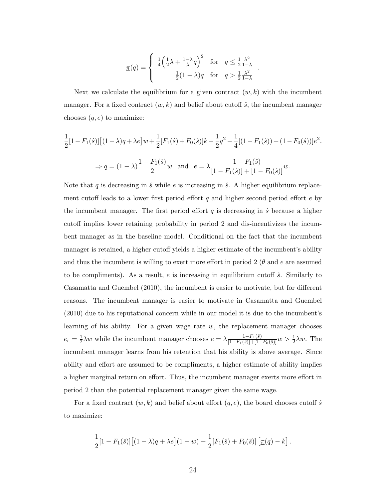$$
\underline{\pi}(q) = \begin{cases} \frac{1}{4} \left( \frac{1}{2} \lambda + \frac{1-\lambda}{\lambda} q \right)^2 & \text{for} \quad q \le \frac{1}{2} \frac{\lambda^2}{1-\lambda} \\ \frac{1}{2} (1-\lambda) q & \text{for} \quad q > \frac{1}{2} \frac{\lambda^2}{1-\lambda} \end{cases}
$$

.

.

Next we calculate the equilibrium for a given contract  $(w, k)$  with the incumbent manager. For a fixed contract  $(w, k)$  and belief about cutoff  $\hat{s}$ , the incumbent manager chooses  $(q, e)$  to maximize:

$$
\frac{1}{2}[1 - F_1(\hat{s})] \left[ (1 - \lambda)q + \lambda e \right] w + \frac{1}{2} [F_1(\hat{s}) + F_0(\hat{s})] k - \frac{1}{2} q^2 - \frac{1}{4} [(1 - F_1(\hat{s})) + (1 - F_0(\hat{s}))] e^2
$$
  
\n
$$
\Rightarrow q = (1 - \lambda) \frac{1 - F_1(\hat{s})}{2} w \text{ and } e = \lambda \frac{1 - F_1(\hat{s})}{[1 - F_1(\hat{s})] + [1 - F_0(\hat{s})]} w.
$$

Note that q is decreasing in  $\hat{s}$  while e is increasing in  $\hat{s}$ . A higher equilibrium replacement cutoff leads to a lower first period effort  $q$  and higher second period effort  $e$  by the incumbent manager. The first period effort  $q$  is decreasing in  $\hat{s}$  because a higher cutoff implies lower retaining probability in period 2 and dis-incentivizes the incumbent manager as in the baseline model. Conditional on the fact that the incumbent manager is retained, a higher cutoff yields a higher estimate of the incumbent's ability and thus the incumbent is willing to exert more effort in period 2 ( $\theta$  and  $e$  are assumed to be compliments). As a result, e is increasing in equilibrium cutoff  $\hat{s}$ . Similarly to Casamatta and Guembel (2010), the incumbent is easier to motivate, but for different reasons. The incumbent manager is easier to motivate in Casamatta and Guembel (2010) due to his reputational concern while in our model it is due to the incumbent's learning of his ability. For a given wage rate w, the replacement manager chooses  $e_r=\frac{1}{2}$  $\frac{1}{2}\lambda w$  while the incumbent manager chooses  $e = \lambda \frac{1-F_1(\hat{s})}{[1-F_1(\hat{s})]+[1-F_0(\hat{s})]}w > \frac{1}{2}\lambda w$ . The incumbent manager learns from his retention that his ability is above average. Since ability and effort are assumed to be compliments, a higher estimate of ability implies a higher marginal return on effort. Thus, the incumbent manager exerts more effort in period 2 than the potential replacement manager given the same wage.

For a fixed contract  $(w, k)$  and belief about effort  $(q, e)$ , the board chooses cutoff  $\hat{s}$ to maximize:

$$
\frac{1}{2}[1 - F_1(\hat{s})] [(1 - \lambda)q + \lambda e] (1 - w) + \frac{1}{2}[F_1(\hat{s}) + F_0(\hat{s})] [\underline{\pi}(q) - k].
$$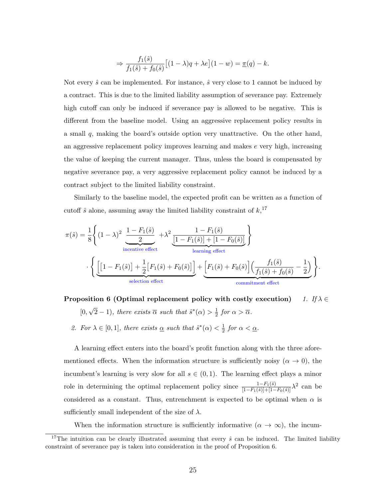$$
\Rightarrow \frac{f_1(\hat{s})}{f_1(\hat{s}) + f_0(\hat{s})} \left[ (1 - \lambda)q + \lambda e \right] (1 - w) = \underline{\pi}(q) - k.
$$

Not every  $\hat{s}$  can be implemented. For instance,  $\hat{s}$  very close to 1 cannot be induced by a contract. This is due to the limited liability assumption of severance pay. Extremely high cutoff can only be induced if severance pay is allowed to be negative. This is different from the baseline model. Using an aggressive replacement policy results in a small q, making the board's outside option very unattractive. On the other hand, an aggressive replacement policy improves learning and makes  $e$  very high, increasing the value of keeping the current manager. Thus, unless the board is compensated by negative severance pay, a very aggressive replacement policy cannot be induced by a contract subject to the limited liability constraint.

Similarly to the baseline model, the expected profit can be written as a function of cutoff  $\hat{s}$  alone, assuming away the limited liability constraint of  $k$ <sup>17</sup>,

$$
\pi(\hat{s}) = \frac{1}{8} \Biggl\{ (1-\lambda)^2 \underbrace{\frac{1-F_1(\hat{s})}{2}}_{\text{incentive effect}} + \lambda^2 \underbrace{\frac{1-F_1(\hat{s})}{[1-F_1(\hat{s})]+[1-F_0(\hat{s})]}}_{\text{learning effect}} \Biggr\}
$$
  

$$
\cdot \Biggl\{ \underbrace{\Biggl[1-F_1(\hat{s})\Biggr] + \frac{1}{2} \Bigl[F_1(\hat{s}) + F_0(\hat{s})\Bigr] \Biggr] + \Biggl[F_1(\hat{s}) + F_0(\hat{s}) \Bigl] \Biggl(\frac{f_1(\hat{s})}{f_1(\hat{s}) + f_0(\hat{s})} - \frac{1}{2} \Biggr)}_{\text{selection effect}} \Biggr\}.
$$

Proposition 6 (Optimal replacement policy with costly execution) 1. If  $\lambda \in$ [0, √  $(\overline{2}-1)$ , there exists  $\overline{\alpha}$  such that  $\hat{s}^*(\alpha) > \frac{1}{2}$  $rac{1}{2}$  for  $\alpha > \overline{\alpha}$ .

2. For  $\lambda \in [0,1]$ , there exists  $\alpha$  such that  $\hat{s}^*(\alpha) < \frac{1}{2}$  $rac{1}{2}$  for  $\alpha < \underline{\alpha}$ .

A learning effect enters into the board's profit function along with the three aforementioned effects. When the information structure is sufficiently noisy  $(\alpha \to 0)$ , the incumbent's learning is very slow for all  $s \in (0,1)$ . The learning effect plays a minor role in determining the optimal replacement policy since  $\frac{1-F_1(\hat{s})}{[1-F_1(\hat{s})]+[1-F_0(\hat{s})]}\lambda^2$  can be considered as a constant. Thus, entrenchment is expected to be optimal when  $\alpha$  is sufficiently small independent of the size of  $\lambda$ .

When the information structure is sufficiently informative  $(\alpha \to \infty)$ , the incum-

<sup>&</sup>lt;sup>17</sup>The intuition can be clearly illustrated assuming that every  $\hat{s}$  can be induced. The limited liability constraint of severance pay is taken into consideration in the proof of Proposition 6.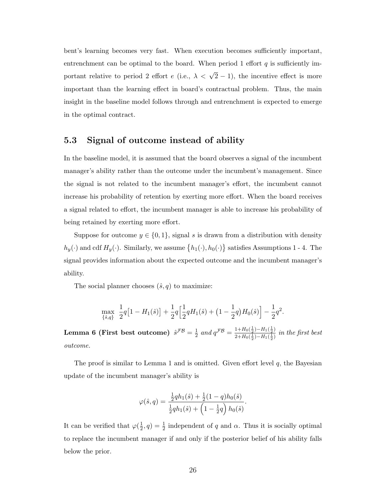bent's learning becomes very fast. When execution becomes sufficiently important, entrenchment can be optimal to the board. When period 1 effort  $q$  is sufficiently important relative to period 2 effort e (i.e.,  $\lambda < \sqrt{2} - 1$ ), the incentive effect is more important than the learning effect in board's contractual problem. Thus, the main insight in the baseline model follows through and entrenchment is expected to emerge in the optimal contract.

### 5.3 Signal of outcome instead of ability

In the baseline model, it is assumed that the board observes a signal of the incumbent manager's ability rather than the outcome under the incumbent's management. Since the signal is not related to the incumbent manager's effort, the incumbent cannot increase his probability of retention by exerting more effort. When the board receives a signal related to effort, the incumbent manager is able to increase his probability of being retained by exerting more effort.

Suppose for outcome  $y \in \{0, 1\}$ , signal s is drawn from a distribution with density  $h_y(\cdot)$  and cdf  $H_y(\cdot)$ . Similarly, we assume  $\{h_1(\cdot), h_0(\cdot)\}$  satisfies Assumptions 1 - 4. The signal provides information about the expected outcome and the incumbent manager's ability.

The social planner chooses  $(\hat{s}, q)$  to maximize:

$$
\max_{\{\hat{s},q\}} \ \frac{1}{2}q\big[1-H_1(\hat{s})\big]+\frac{1}{2}q\Big[\frac{1}{2}qH_1(\hat{s})+\big(1-\frac{1}{2}q\big)H_0(\hat{s})\Big]-\frac{1}{2}q^2.
$$

Lemma 6 (First best outcome)  $\hat{s}^{\mathcal{FB}}=\frac{1}{2}$  $\frac{1}{2}$  and  $q^{\mathcal{FB}} = \frac{1+H_0(\frac{1}{2})-H_1(\frac{1}{2})}{2+H_0(\frac{1}{2})-H_1(\frac{1}{2})}$  $\frac{1+H_0(\frac{1}{2})-H_1(\frac{1}{2})}{2+H_0(\frac{1}{2})-H_1(\frac{1}{2})}$  in the first best outcome.

The proof is similar to Lemma 1 and is omitted. Given effort level  $q$ , the Bayesian update of the incumbent manager's ability is

$$
\varphi(\hat{s}, q) = \frac{\frac{1}{2}qh_1(\hat{s}) + \frac{1}{2}(1-q)h_0(\hat{s})}{\frac{1}{2}qh_1(\hat{s}) + \left(1 - \frac{1}{2}q\right)h_0(\hat{s})}.
$$

It can be verified that  $\varphi(\frac{1}{2})$  $(\frac{1}{2}, q) = \frac{1}{2}$  independent of q and  $\alpha$ . Thus it is socially optimal to replace the incumbent manager if and only if the posterior belief of his ability falls below the prior.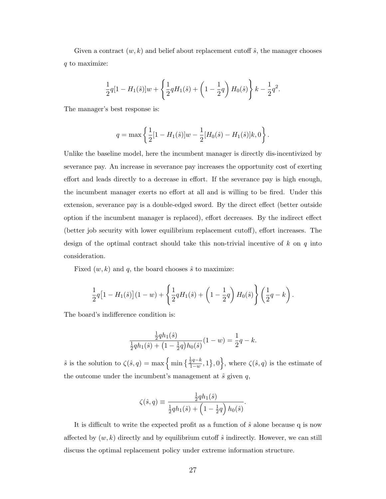Given a contract  $(w, k)$  and belief about replacement cutoff  $\hat{s}$ , the manager chooses q to maximize:

$$
\frac{1}{2}q[1-H_1(\hat{s})]w + \left\{\frac{1}{2}qH_1(\hat{s}) + \left(1 - \frac{1}{2}q\right)H_0(\hat{s})\right\}k - \frac{1}{2}q^2.
$$

The manager's best response is:

$$
q = \max \left\{ \frac{1}{2} [1 - H_1(\hat{s})] w - \frac{1}{2} [H_0(\hat{s}) - H_1(\hat{s})] k, 0 \right\}.
$$

Unlike the baseline model, here the incumbent manager is directly dis-incentivized by severance pay. An increase in severance pay increases the opportunity cost of exerting effort and leads directly to a decrease in effort. If the severance pay is high enough, the incumbent manager exerts no effort at all and is willing to be fired. Under this extension, severance pay is a double-edged sword. By the direct effect (better outside option if the incumbent manager is replaced), effort decreases. By the indirect effect (better job security with lower equilibrium replacement cutoff), effort increases. The design of the optimal contract should take this non-trivial incentive of  $k$  on  $q$  into consideration.

Fixed  $(w, k)$  and q, the board chooses  $\hat{s}$  to maximize:

$$
\frac{1}{2}q[1-H_1(\hat{s})](1-w) + \left\{\frac{1}{2}qH_1(\hat{s}) + \left(1-\frac{1}{2}q\right)H_0(\hat{s})\right\}\left(\frac{1}{2}q-k\right).
$$

The board's indifference condition is:

$$
\frac{\frac{1}{2}qh_1(\hat{s})}{\frac{1}{2}qh_1(\hat{s}) + (1 - \frac{1}{2}q)h_0(\hat{s})}(1 - w) = \frac{1}{2}q - k.
$$

 $\hat{s}$  is the solution to  $\zeta(\hat{s}, q) = \max \left\{ \min \left\{ \frac{\frac{1}{2}q - k}{1 - m} \right\} \right\}$  $\frac{\frac{1}{2}q-k}{1-w},1$ , 0, where  $\zeta(\hat{s},q)$  is the estimate of the outcome under the incumbent's management at  $\hat{s}$  given q,

$$
\zeta(\hat{s},q) \equiv \frac{\frac{1}{2}qh_1(\hat{s})}{\frac{1}{2}qh_1(\hat{s}) + \left(1 - \frac{1}{2}q\right)h_0(\hat{s})}
$$

.

It is difficult to write the expected profit as a function of  $\hat{s}$  alone because q is now affected by  $(w, k)$  directly and by equilibrium cutoff  $\hat{s}$  indirectly. However, we can still discuss the optimal replacement policy under extreme information structure.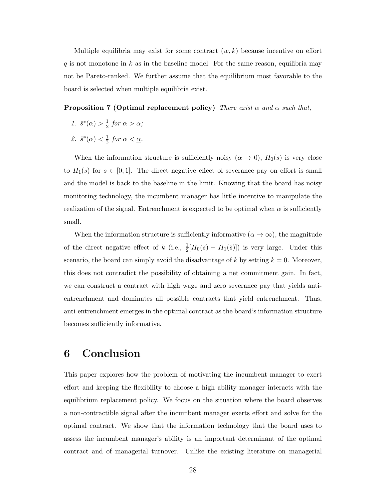Multiple equilibria may exist for some contract  $(w, k)$  because incentive on effort q is not monotone in k as in the baseline model. For the same reason, equilibria may not be Pareto-ranked. We further assume that the equilibrium most favorable to the board is selected when multiple equilibria exist.

#### **Proposition 7 (Optimal replacement policy)** There exist  $\overline{\alpha}$  and  $\underline{\alpha}$  such that,

- 1.  $\hat{s}^*(\alpha) > \frac{1}{2}$  $rac{1}{2}$  for  $\alpha > \overline{\alpha}$ ;
- 2.  $\hat{s}^*(\alpha) < \frac{1}{2}$  $rac{1}{2}$  for  $\alpha < \underline{\alpha}$ .

When the information structure is sufficiently noisy  $(\alpha \to 0)$ ,  $H_0(s)$  is very close to  $H_1(s)$  for  $s \in [0,1]$ . The direct negative effect of severance pay on effort is small and the model is back to the baseline in the limit. Knowing that the board has noisy monitoring technology, the incumbent manager has little incentive to manipulate the realization of the signal. Entrenchment is expected to be optimal when  $\alpha$  is sufficiently small.

When the information structure is sufficiently informative  $(\alpha \to \infty)$ , the magnitude of the direct negative effect of k (i.e.,  $\frac{1}{2}[H_0(\hat{s}) - H_1(\hat{s})]$ ) is very large. Under this scenario, the board can simply avoid the disadvantage of k by setting  $k = 0$ . Moreover, this does not contradict the possibility of obtaining a net commitment gain. In fact, we can construct a contract with high wage and zero severance pay that yields antientrenchment and dominates all possible contracts that yield entrenchment. Thus, anti-entrenchment emerges in the optimal contract as the board's information structure becomes sufficiently informative.

# 6 Conclusion

This paper explores how the problem of motivating the incumbent manager to exert effort and keeping the flexibility to choose a high ability manager interacts with the equilibrium replacement policy. We focus on the situation where the board observes a non-contractible signal after the incumbent manager exerts effort and solve for the optimal contract. We show that the information technology that the board uses to assess the incumbent manager's ability is an important determinant of the optimal contract and of managerial turnover. Unlike the existing literature on managerial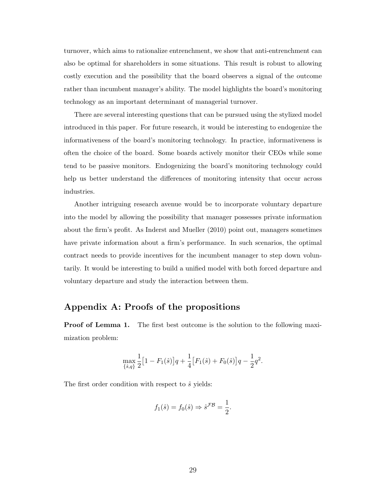turnover, which aims to rationalize entrenchment, we show that anti-entrenchment can also be optimal for shareholders in some situations. This result is robust to allowing costly execution and the possibility that the board observes a signal of the outcome rather than incumbent manager's ability. The model highlights the board's monitoring technology as an important determinant of managerial turnover.

There are several interesting questions that can be pursued using the stylized model introduced in this paper. For future research, it would be interesting to endogenize the informativeness of the board's monitoring technology. In practice, informativeness is often the choice of the board. Some boards actively monitor their CEOs while some tend to be passive monitors. Endogenizing the board's monitoring technology could help us better understand the differences of monitoring intensity that occur across industries.

Another intriguing research avenue would be to incorporate voluntary departure into the model by allowing the possibility that manager possesses private information about the firm's profit. As Inderst and Mueller (2010) point out, managers sometimes have private information about a firm's performance. In such scenarios, the optimal contract needs to provide incentives for the incumbent manager to step down voluntarily. It would be interesting to build a unified model with both forced departure and voluntary departure and study the interaction between them.

### Appendix A: Proofs of the propositions

**Proof of Lemma 1.** The first best outcome is the solution to the following maximization problem:

$$
\max_{\{\hat{s},q\}} \frac{1}{2} \left[1 - F_1(\hat{s})\right] q + \frac{1}{4} \left[F_1(\hat{s}) + F_0(\hat{s})\right] q - \frac{1}{2} q^2.
$$

The first order condition with respect to  $\hat{s}$  yields:

$$
f_1(\hat{s}) = f_0(\hat{s}) \Rightarrow \hat{s}^{\mathcal{FB}} = \frac{1}{2}.
$$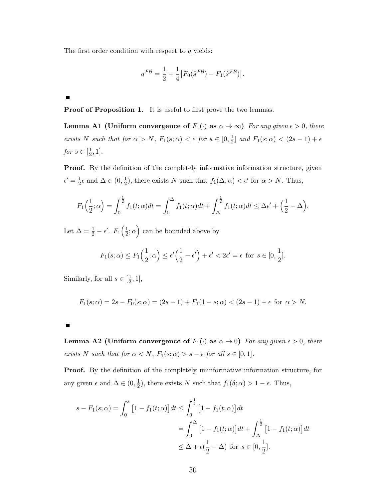The first order condition with respect to  $q$  yields:

$$
q^{\mathcal{FB}} = \frac{1}{2} + \frac{1}{4} \left[ F_0(\hat{s}^{\mathcal{FB}}) - F_1(\hat{s}^{\mathcal{FB}}) \right].
$$

 $\blacksquare$ 

Proof of Proposition 1. It is useful to first prove the two lemmas.

**Lemma A1 (Uniform convergence of**  $F_1(\cdot)$  as  $\alpha \to \infty$ ) For any given  $\epsilon > 0$ , there exists N such that for  $\alpha > N$ ,  $F_1(s; \alpha) < \epsilon$  for  $s \in [0, \frac{1}{2})$  $\frac{1}{2}$  and  $F_1(s;\alpha) < (2s-1)+\epsilon$ for  $s \in [\frac{1}{2}]$  $\frac{1}{2}, 1].$ 

Proof. By the definition of the completely informative information structure, given  $\epsilon' = \frac{1}{2}$  $\frac{1}{2} \epsilon$  and  $\Delta \in (0, \frac{1}{2})$  $\frac{1}{2}$ , there exists N such that  $f_1(\Delta; \alpha) < \epsilon'$  for  $\alpha > N$ . Thus,

$$
F_1\Big(\frac{1}{2};\alpha\Big) = \int_0^{\frac{1}{2}} f_1(t;\alpha)dt = \int_0^{\Delta} f_1(t;\alpha)dt + \int_{\Delta}^{\frac{1}{2}} f_1(t;\alpha)dt \leq \Delta\epsilon' + \Big(\frac{1}{2} - \Delta\Big).
$$

Let  $\Delta = \frac{1}{2} - \epsilon'$ .  $F_1\left(\frac{1}{2}\right)$  $(\frac{1}{2}; \alpha)$  can be bounded above by

$$
F_1(s;\alpha) \le F_1\Big(\frac{1}{2};\alpha\Big) \le \epsilon' \Big(\frac{1}{2}-\epsilon'\Big) + \epsilon' < 2\epsilon' = \epsilon \text{ for } s \in [0,\frac{1}{2}].
$$

Similarly, for all  $s \in \left[\frac{1}{2}\right]$  $\frac{1}{2}, 1],$ 

$$
F_1(s; \alpha) = 2s - F_0(s; \alpha) = (2s - 1) + F_1(1 - s; \alpha) < (2s - 1) + \epsilon \text{ for } \alpha > N.
$$

**Lemma A2 (Uniform convergence of**  $F_1(\cdot)$  as  $\alpha \to 0$ ) For any given  $\epsilon > 0$ , there exists N such that for  $\alpha < N$ ,  $F_1(s; \alpha) > s - \epsilon$  for all  $s \in [0, 1]$ .

Proof. By the definition of the completely uninformative information structure, for any given  $\epsilon$  and  $\Delta \in (0, \frac{1}{2})$  $(\frac{1}{2})$ , there exists N such that  $f_1(\delta; \alpha) > 1 - \epsilon$ . Thus,

$$
s - F_1(s; \alpha) = \int_0^s \left[1 - f_1(t; \alpha)\right] dt \le \int_0^{\frac{1}{2}} \left[1 - f_1(t; \alpha)\right] dt
$$
  
= 
$$
\int_0^{\Delta} \left[1 - f_1(t; \alpha)\right] dt + \int_{\Delta}^{\frac{1}{2}} \left[1 - f_1(t; \alpha)\right] dt
$$
  

$$
\le \Delta + \epsilon \left(\frac{1}{2} - \Delta\right) \text{ for } s \in [0, \frac{1}{2}].
$$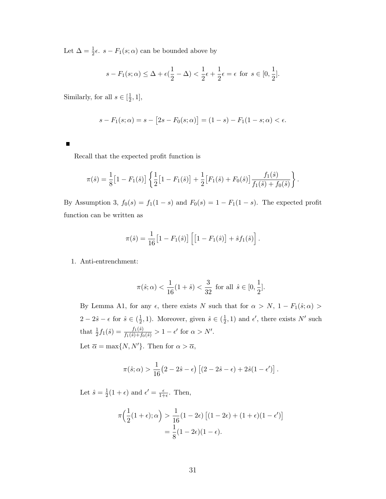Let  $\Delta = \frac{1}{2}\epsilon$ .  $s - F_1(s; \alpha)$  can be bounded above by

$$
s - F_1(s; \alpha) \le \Delta + \epsilon(\frac{1}{2} - \Delta) < \frac{1}{2}\epsilon + \frac{1}{2}\epsilon = \epsilon \text{ for } s \in [0, \frac{1}{2}].
$$

Similarly, for all  $s \in [\frac{1}{2}]$  $\frac{1}{2}, 1],$ 

$$
s - F_1(s; \alpha) = s - [2s - F_0(s; \alpha)] = (1 - s) - F_1(1 - s; \alpha) < \epsilon.
$$

Recall that the expected profit function is

$$
\pi(\hat{s}) = \frac{1}{8} \big[ 1 - F_1(\hat{s}) \big] \left\{ \frac{1}{2} \big[ 1 - F_1(\hat{s}) \big] + \frac{1}{2} \big[ F_1(\hat{s}) + F_0(\hat{s}) \big] \frac{f_1(\hat{s})}{f_1(\hat{s}) + f_0(\hat{s})} \right\}.
$$

By Assumption 3,  $f_0(s) = f_1(1-s)$  and  $F_0(s) = 1 - F_1(1-s)$ . The expected profit function can be written as

$$
\pi(\hat{s}) = \frac{1}{16} \big[ 1 - F_1(\hat{s}) \big] \left[ 1 - F_1(\hat{s}) \right] + \hat{s} f_1(\hat{s}) \right].
$$

1. Anti-entrenchment:

$$
\pi(\hat{s}; \alpha) < \frac{1}{16}(1+\hat{s}) < \frac{3}{32} \text{ for all } \hat{s} \in [0, \frac{1}{2}].
$$

By Lemma A1, for any  $\epsilon$ , there exists N such that for  $\alpha > N$ , 1 –  $F_1(\hat{s}; \alpha)$  $2-2\hat{s}-\epsilon$  for  $\hat{s}\in(\frac{1}{2})$  $(\frac{1}{2}, 1)$ . Moreover, given  $\hat{s} \in (\frac{1}{2})$  $(\frac{1}{2}, 1)$  and  $\epsilon'$ , there exists N' such that  $\frac{1}{2}f_1(\hat{s}) = \frac{f_1(\hat{s})}{f_1(\hat{s})+f_0(\hat{s})} > 1 - \epsilon'$  for  $\alpha > N'.$ Let  $\overline{\alpha} = \max\{N, N'\}$ . Then for  $\alpha > \overline{\alpha}$ ,

$$
\pi(\hat{s}; \alpha) > \frac{1}{16} (2 - 2\hat{s} - \epsilon) \left[ (2 - 2\hat{s} - \epsilon) + 2\hat{s} (1 - \epsilon') \right].
$$

Let  $\hat{s} = \frac{1}{2}$  $\frac{1}{2}(1+\epsilon)$  and  $\epsilon' = \frac{\epsilon}{1+\epsilon}$  $\frac{\epsilon}{1+\epsilon}$ . Then,

$$
\pi\left(\frac{1}{2}(1+\epsilon);\alpha\right) > \frac{1}{16}(1-2\epsilon) \left[(1-2\epsilon) + (1+\epsilon)(1-\epsilon')\right]
$$

$$
= \frac{1}{8}(1-2\epsilon)(1-\epsilon).
$$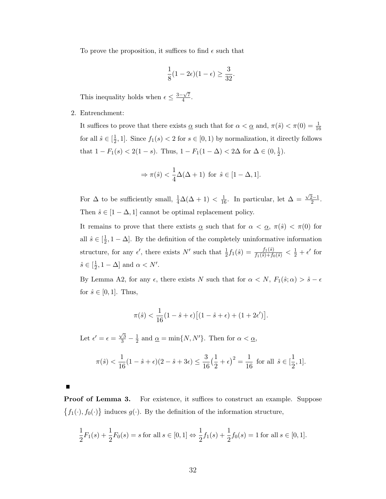To prove the proposition, it suffices to find  $\epsilon$  such that

$$
\frac{1}{8}(1-2\epsilon)(1-\epsilon)\geq \frac{3}{32}.
$$

This inequality holds when  $\epsilon \leq \frac{3-\sqrt{7}}{4}$  $\frac{\sqrt{7}}{4}$ .

2. Entrenchment:

It suffices to prove that there exists  $\underline{\alpha}$  such that for  $\alpha < \underline{\alpha}$  and,  $\pi(\hat{s}) < \pi(0) = \frac{1}{16}$ for all  $\hat{s} \in \left[\frac{1}{2}\right]$  $\frac{1}{2}$ , 1]. Since  $f_1(s) < 2$  for  $s \in [0, 1)$  by normalization, it directly follows that  $1 - F_1(s) < 2(1 - s)$ . Thus,  $1 - F_1(1 - \Delta) < 2\Delta$  for  $\Delta \in (0, \frac{1}{2})$  $(\frac{1}{2})$ .

$$
\Rightarrow \pi(\hat{s}) < \frac{1}{4}\Delta(\Delta + 1) \text{ for } \hat{s} \in [1 - \Delta, 1].
$$

For  $\Delta$  to be sufficiently small,  $\frac{1}{4}\Delta(\Delta+1) < \frac{1}{16}$ . In particular, let  $\Delta =$  $\sqrt{2}-1$  $\frac{2-1}{2}$ . Then  $\hat{s} \in [1 - \Delta, 1]$  cannot be optimal replacement policy.

It remains to prove that there extists  $\alpha$  such that for  $\alpha < \alpha$ ,  $\pi(\hat{s}) < \pi(0)$  for all  $\hat{s} \in \left[\frac{1}{2}\right]$  $\frac{1}{2}$ , 1 –  $\Delta$ . By the definition of the completely uninformative information structure, for any  $\epsilon'$ , there exists N' such that  $\frac{1}{2}f_1(\hat{s}) = \frac{f_1(\hat{s})}{f_1(\hat{s})+f_0(\hat{s})} < \frac{1}{2} + \epsilon'$  for  $\hat{s} \in \left[\frac{1}{2}\right]$  $\frac{1}{2}$ , 1 –  $\Delta$ ] and  $\alpha < N'$ .

By Lemma A2, for any  $\epsilon$ , there exists N such that for  $\alpha < N$ ,  $F_1(\hat{s}; \alpha) > \hat{s} - \epsilon$ for  $\hat{s} \in [0, 1]$ . Thus,

$$
\pi(\hat{s}) < \frac{1}{16}(1 - \hat{s} + \epsilon) \big[ (1 - \hat{s} + \epsilon) + (1 + 2\epsilon') \big].
$$

Let  $\epsilon' = \epsilon = \frac{\sqrt{3}}{3} - \frac{1}{2}$  $\frac{1}{2}$  and  $\underline{\alpha} = \min\{N, N'\}$ . Then for  $\alpha < \underline{\alpha}$ ,

$$
\pi(\hat{s}) < \frac{1}{16}(1 - \hat{s} + \epsilon)(2 - \hat{s} + 3\epsilon) \le \frac{3}{16}\left(\frac{1}{2} + \epsilon\right)^2 = \frac{1}{16} \text{ for all } \hat{s} \in [\frac{1}{2}, 1].
$$

**Proof of Lemma 3.** For existence, it suffices to construct an example. Suppose  $\{f_1(\cdot), f_0(\cdot)\}\$  induces  $g(\cdot)$ . By the definition of the information structure,

$$
\frac{1}{2}F_1(s) + \frac{1}{2}F_0(s) = s \text{ for all } s \in [0, 1] \Leftrightarrow \frac{1}{2}f_1(s) + \frac{1}{2}f_0(s) = 1 \text{ for all } s \in [0, 1].
$$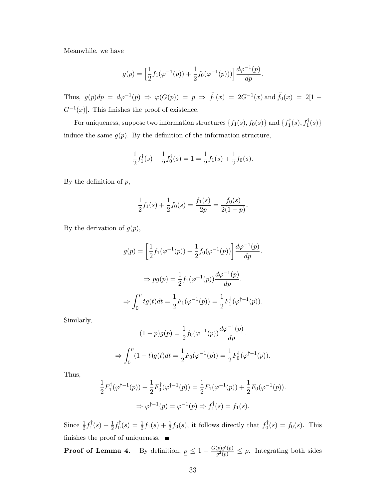Meanwhile, we have

$$
g(p) = \left[\frac{1}{2}f_1(\varphi^{-1}(p)) + \frac{1}{2}f_0(\varphi^{-1}(p)))\right] \frac{d\varphi^{-1}(p)}{dp}.
$$

Thus,  $g(p)dp = d\varphi^{-1}(p) \Rightarrow \varphi(G(p)) = p \Rightarrow \tilde{f}_1(x) = 2G^{-1}(x)$  and  $\tilde{f}_0(x) = 2[1 G^{-1}(x)$ . This finishes the proof of existence.

For uniqueness, suppose two information structures  $\{f_1(s), f_0(s)\}\$  and  $\{f_1^\dagger$  $f_1^{\dagger}(s), f_1^{\dagger}(s)\}$ induce the same  $g(p)$ . By the definition of the information structure,

$$
\frac{1}{2}f_1^{\dagger}(s) + \frac{1}{2}f_0^{\dagger}(s) = 1 = \frac{1}{2}f_1(s) + \frac{1}{2}f_0(s).
$$

By the definition of  $p$ ,

$$
\frac{1}{2}f_1(s) + \frac{1}{2}f_0(s) = \frac{f_1(s)}{2p} = \frac{f_0(s)}{2(1-p)}.
$$

By the derivation of  $g(p)$ ,

$$
g(p) = \left[\frac{1}{2}f_1(\varphi^{-1}(p)) + \frac{1}{2}f_0(\varphi^{-1}(p))\right] \frac{d\varphi^{-1}(p)}{dp}.
$$

$$
\Rightarrow pg(p) = \frac{1}{2}f_1(\varphi^{-1}(p)) \frac{d\varphi^{-1}(p)}{dp}.
$$

$$
\Rightarrow \int_0^p tg(t)dt = \frac{1}{2}F_1(\varphi^{-1}(p)) = \frac{1}{2}F_1^{\dagger}(\varphi^{\dagger-1}(p)).
$$

Similarly,

$$
(1-p)g(p) = \frac{1}{2}f_0(\varphi^{-1}(p))\frac{d\varphi^{-1}(p)}{dp}.
$$
  
\n
$$
\Rightarrow \int_0^p (1-t)g(t)dt = \frac{1}{2}F_0(\varphi^{-1}(p)) = \frac{1}{2}F_0^{\dagger}(\varphi^{\dagger-1}(p)).
$$

Thus,

$$
\frac{1}{2}F_1^{\dagger}(\varphi^{\dagger-1}(p)) + \frac{1}{2}F_0^{\dagger}(\varphi^{\dagger-1}(p)) = \frac{1}{2}F_1(\varphi^{-1}(p)) + \frac{1}{2}F_0(\varphi^{-1}(p)).
$$
  

$$
\Rightarrow \varphi^{\dagger-1}(p) = \varphi^{-1}(p) \Rightarrow f_1^{\dagger}(s) = f_1(s).
$$

Since  $\frac{1}{2}f_1^{\dagger}$  $t_{1}^{\dagger}(s) + \frac{1}{2}f_{0}^{\dagger}$  $\sigma_0^{\dagger}(s) = \frac{1}{2}f_1(s) + \frac{1}{2}f_0(s)$ , it follows directly that  $f_0^{\dagger}$  $f_0^{\dagger}(s) = f_0(s)$ . This finishes the proof of uniqueness.  $\blacksquare$ 

**Proof of Lemma 4.** By definition,  $\rho \leq 1 - \frac{G(p)g'(p)}{a^2(p)}$  $\frac{p}{g^2(p)} \leq \overline{\rho}$ . Integrating both sides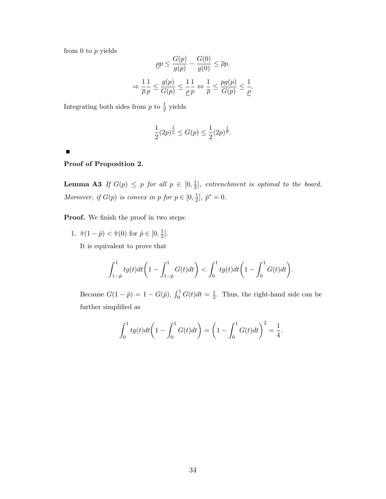from  $0$  to  $p$  yields

$$
\underline{\rho p} \le \frac{G(p)}{g(p)} - \frac{G(0)}{g(0)} \le \overline{\rho} p.
$$

$$
\Rightarrow \frac{1}{\overline{\rho}} \frac{1}{p} \le \frac{g(p)}{G(p)} \le \frac{1}{\underline{\rho}} \frac{1}{p} \Leftrightarrow \frac{1}{\overline{\rho}} \le \frac{pg(p)}{G(p)} \le \frac{1}{\underline{\rho}}.
$$

Integrating both sides from  $p$  to  $\frac{1}{2}$  yields

$$
\frac{1}{2}(2p)^{\frac{1}{\rho}}\leq G(p)\leq \frac{1}{2}(2p)^{\frac{1}{\overline{\rho}}}.
$$

 $\blacksquare$ 

### Proof of Proposition 2.

**Lemma A3** If  $G(p) \leq p$  for all  $p \in [0, \frac{1}{2}]$  $\frac{1}{2}$ , entrenchment is optimal to the board. Moreover, if  $G(p)$  is convex in p for  $p \in [0, \frac{1}{2}]$  $\frac{1}{2}$ ,  $\hat{p}^* = 0$ .

Proof. We finish the proof in two steps:

1.  $\tilde{\pi}(1-\hat{p}) < \tilde{\pi}(0)$  for  $\hat{p} \in [0, \frac{1}{2}]$  $\frac{1}{2}$ .

It is equivalent to prove that

$$
\int_{1-\hat{p}}^1 tg(t)dt\bigg(1-\int_{1-\hat{p}}^1 G(t)dt\bigg) < \int_0^1 tg(t)dt\bigg(1-\int_0^1 G(t)dt\bigg).
$$

Because  $G(1 - \hat{p}) = 1 - G(\hat{p}), \int_0^1 G(t)dt = \frac{1}{2}$  $\frac{1}{2}$ . Thus, the right-hand side can be further simplified as

$$
\int_0^1 tg(t)dt\bigg(1-\int_0^1 G(t)dt\bigg)=\bigg(1-\int_0^1 G(t)dt\bigg)^2=\frac{1}{4}.
$$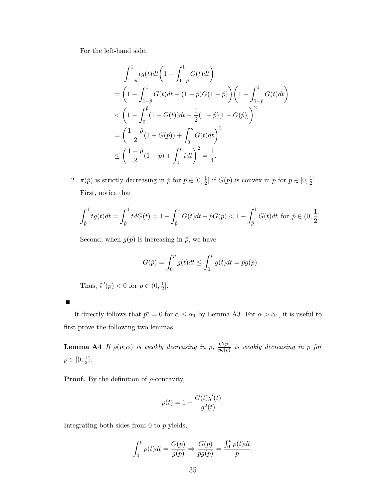For the left-hand side,

$$
\int_{1-\hat{p}}^{1} t g(t) dt \left( 1 - \int_{1-\hat{p}}^{1} G(t) dt \right)
$$
\n
$$
= \left( 1 - \int_{1-\hat{p}}^{1} G(t) dt - (1-\hat{p}) G(1-\hat{p}) \right) \left( 1 - \int_{1-\hat{p}}^{1} G(t) dt \right)
$$
\n
$$
< \left( 1 - \int_{0}^{\hat{p}} (1 - G(t)) dt - \frac{1}{2} (1-\hat{p}) [1 - G(\hat{p})] \right)^{2}
$$
\n
$$
= \left( \frac{1-\hat{p}}{2} (1 + G(\hat{p})) + \int_{0}^{\hat{p}} G(t) dt \right)^{2}
$$
\n
$$
\leq \left( \frac{1-\hat{p}}{2} (1+\hat{p}) + \int_{0}^{\hat{p}} t dt \right)^{2} = \frac{1}{4}.
$$

2.  $\tilde{\pi}(\hat{p})$  is strictly decreasing in  $\hat{p}$  for  $\hat{p} \in [0, \frac{1}{2}]$  $\frac{1}{2}$  if  $G(p)$  is convex in p for  $p \in [0, \frac{1}{2}]$  $\frac{1}{2}$ . First, notice that

$$
\int_{\hat{p}}^1 t g(t) dt = \int_{\hat{p}}^1 t dG(t) = 1 - \int_{\hat{p}}^1 G(t) dt - \hat{p}G(\hat{p}) < 1 - \int_{\hat{p}}^1 G(t) dt \text{ for } \hat{p} \in (0, \frac{1}{2}].
$$

Second, when  $g(\hat{p})$  is increasing in  $\hat{p}$ , we have

$$
G(\hat{p}) = \int_0^{\hat{p}} g(t)dt \le \int_0^{\hat{p}} g(t)dt = \hat{p}g(\hat{p}).
$$

Thus,  $\tilde{\pi}'(p) < 0$  for  $p \in (0, \frac{1}{2})$  $\frac{1}{2}$ .

| It directly follows that $\hat{p}^* = 0$ for $\alpha \leq \alpha_1$ by Lemma A3. For $\alpha > \alpha_1$ , it is useful to |  |  |  |
|----------------------------------------------------------------------------------------------------------------------------|--|--|--|
| first prove the following two lemmas.                                                                                      |  |  |  |

**Lemma A4** If  $\rho(p;\alpha)$  is weakly decreasing in p,  $\frac{G(p)}{p(q;\alpha)}$  $\frac{G(p)}{pg(\hat{p})}$  is weakly decreasing in p for  $p \in [0, \frac{1}{2}]$  $\frac{1}{2}$ .

**Proof.** By the definition of  $\rho$ -concavity,

$$
\rho(t) = 1 - \frac{G(t)g'(t)}{g^2(t)}.
$$

Integrating both sides from  $0$  to  $p$  yields,

$$
\int_0^p \rho(t)dt = \frac{G(p)}{g(p)} \Rightarrow \frac{G(p)}{pg(p)} = \frac{\int_0^p \rho(t)dt}{p}.
$$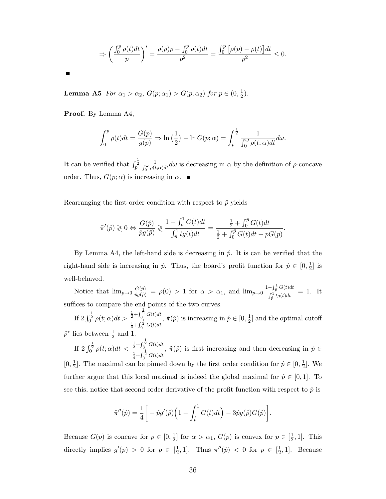$$
\Rightarrow \left(\frac{\int_0^p \rho(t)dt}{p}\right)' = \frac{\rho(p)p - \int_0^p \rho(t)dt}{p^2} = \frac{\int_0^p \left[\rho(p) - \rho(t)\right]dt}{p^2} \le 0.
$$

П

Lemma A5  $\emph{For} ~\alpha_1 > \alpha_2, ~G(p;\alpha_1) > G(p;\alpha_2) ~\emph{for}~ p \in (0,\frac{1}{2})$  $(\frac{1}{2})$ .

Proof. By Lemma A4,

$$
\int_0^p \rho(t)dt = \frac{G(p)}{g(p)} \Rightarrow \ln\left(\frac{1}{2}\right) - \ln G(p;\alpha) = \int_p^{\frac{1}{2}} \frac{1}{\int_0^{\omega} \rho(t;\alpha)dt} d\omega.
$$

It can be verified that  $\int_{p}^{\frac{1}{2}}$  $\frac{1}{\int_0^{\omega} \rho(t;\alpha)dt} d\omega$  is decreasing in  $\alpha$  by the definition of  $\rho$ -concave order. Thus,  $G(p; \alpha)$  is increasing in  $\alpha$ .

Rearranging the first order condition with respect to  $\hat{p}$  yields

$$
\tilde{\pi}'(\hat{p}) \geq 0 \Leftrightarrow \frac{G(\hat{p})}{\hat{p}g(\hat{p})} \geq \frac{1 - \int_{\hat{p}}^1 G(t)dt}{\int_{\hat{p}}^1 tg(t)dt} = \frac{\frac{1}{2} + \int_0^{\hat{p}} G(t)dt}{\frac{1}{2} + \int_0^{\hat{p}} G(t)dt - pG(p)}
$$

.

By Lemma A4, the left-hand side is decreasing in  $\hat{p}$ . It is can be verified that the right-hand side is increasing in  $\hat{p}$ . Thus, the board's profit function for  $\hat{p} \in [0, \frac{1}{2}]$  $\frac{1}{2}$  is well-behaved.

Notice that  $\lim_{p\to 0} \frac{G(\hat{p})}{\hat{p}g(\hat{p})} = \rho(0) > 1$  for  $\alpha > \alpha_1$ , and  $\lim_{p\to 0} \frac{1-\int_{\hat{p}}^1 G(t)dt}{\int_{\alpha_1}^1 t g(t)dt}$  $\frac{\int_{\hat{p}}^1 \sigma(t) dt}{\int_{\hat{p}}^1 tg(t) dt} = 1.$  It suffices to compare the end points of the two curves.

If  $2 \int_0^{\frac{1}{2}} \rho(t; \alpha) dt > \frac{\frac{1}{2} + \int_0^{\frac{1}{2}} G(t) dt}{\frac{1}{2} + \int_0^{\frac{1}{2}} G(t) dt}$  $\frac{1}{4} + \int_0^{\frac{1}{2}} G(t) dt$ ,  $\tilde{\pi}(\hat{p})$  is increasing in  $\hat{p} \in [0, \frac{1}{2}]$  $\frac{1}{2}$  and the optimal cutoff  $\hat{p}^*$  lies between  $\frac{1}{2}$  and 1.

If  $2 \int_0^{\frac{1}{2}} \rho(t;\alpha) dt < \frac{\frac{1}{2} + \int_0^{\frac{1}{2}} G(t) dt}{\frac{1}{2} + \int_0^{\frac{1}{2}} G(t) dt}$  $\frac{1}{4} + \int_0^{\frac{1}{2}} G(t) dt$ ,  $\tilde{\pi}(\hat{p})$  is first increasing and then decreasing in  $\hat{p} \in$  $[0, \frac{1}{2}]$  $\frac{1}{2}$ . The maximal can be pinned down by the first order condition for  $\hat{p} \in [0, \frac{1}{2}]$  $\frac{1}{2}$ . We further argue that this local maximal is indeed the global maximal for  $\hat{p} \in [0,1]$ . To see this, notice that second order derivative of the profit function with respect to  $\hat{p}$  is

$$
\tilde{\pi}''(\hat{p}) = \frac{1}{4} \bigg[ -\hat{p}g'(\hat{p}) \Big( 1 - \int_{\hat{p}}^1 G(t) dt \Big) - 3\hat{p}g(\hat{p})G(\hat{p}) \bigg].
$$

Because  $G(p)$  is concave for  $p \in [0, \frac{1}{2}]$  $\frac{1}{2}$  for  $\alpha > \alpha_1$ ,  $G(p)$  is convex for  $p \in [\frac{1}{2}]$  $\frac{1}{2}$ , 1]. This directly implies  $g'(p) > 0$  for  $p \in \left[\frac{1}{2}\right]$  $\frac{1}{2}$ , 1]. Thus  $\pi''(\hat{p}) < 0$  for  $p \in [\frac{1}{2}]$  $\frac{1}{2}$ , 1]. Because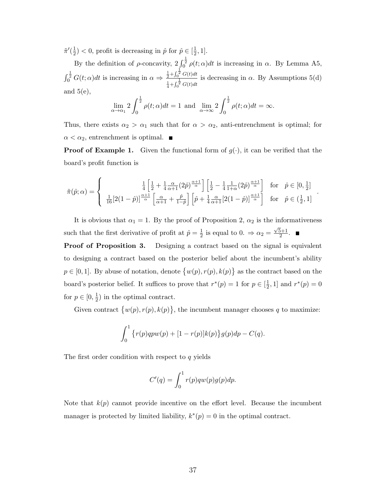$\tilde{\pi}'(\frac{1}{2})$  $(\frac{1}{2})$  < 0, profit is decreasing in  $\hat{p}$  for  $\hat{p} \in [\frac{1}{2}]$  $\frac{1}{2}, 1].$ 

By the definition of  $\rho$ -concavity,  $2 \int_0^{\frac{1}{2}} \rho(t; \alpha) dt$  is increasing in  $\alpha$ . By Lemma A5,  $\int_0^{\frac{1}{2}} G(t;\alpha)dt$  is increasing in  $\alpha \Rightarrow \frac{\frac{1}{2} + \int_0^{\frac{1}{2}} G(t)dt}{\frac{1}{2} + \int_0^{\frac{1}{2}} G(t)}$  $\frac{1}{4} + \int_0^{\frac{1}{2}} G(t) dt$ is decreasing in  $\alpha$ . By Assumptions 5(d) and  $5(e)$ ,

$$
\lim_{\alpha \to \alpha_1} 2 \int_0^{\frac{1}{2}} \rho(t; \alpha) dt = 1 \text{ and } \lim_{\alpha \to \infty} 2 \int_0^{\frac{1}{2}} \rho(t; \alpha) dt = \infty.
$$

Thus, there exists  $\alpha_2 > \alpha_1$  such that for  $\alpha > \alpha_2$ , anti-entrenchment is optimal; for  $\alpha < \alpha_2$ , entrenchment is optimal.

**Proof of Example 1.** Given the functional form of  $g(\cdot)$ , it can be verified that the board's profit function is

$$
\tilde{\pi}(\hat{p};\alpha) = \begin{cases}\n\frac{1}{4} \left[ \frac{1}{2} + \frac{1}{4} \frac{\alpha}{\alpha + 1} (2\hat{p})^{\frac{\alpha + 1}{\alpha}} \right] \left[ \frac{1}{2} - \frac{1}{4} \frac{1}{1 + \alpha} (2\hat{p})^{\frac{\alpha + 1}{\alpha}} \right] & \text{for} \quad \hat{p} \in [0, \frac{1}{2}] \\
\frac{1}{16} [2(1 - \hat{p})]^{\frac{\alpha + 1}{\alpha}} \left[ \frac{\alpha}{\alpha + 1} + \frac{\hat{p}}{1 - \hat{p}} \right] \left[ \hat{p} + \frac{1}{4} \frac{\alpha}{\alpha + 1} [2(1 - \hat{p})]^{\frac{\alpha + 1}{\alpha}} \right] & \text{for} \quad \hat{p} \in (\frac{1}{2}, 1]\n\end{cases}
$$

.

It is obvious that  $\alpha_1 = 1$ . By the proof of Proposition 2,  $\alpha_2$  is the informativeness such that the first derivative of profit at  $\hat{p} = \frac{1}{2}$  $\frac{1}{2}$  is equal to 0.  $\Rightarrow \alpha_2 =$  $\sqrt{5}+1$  $\frac{2^{n+1}}{2}$ .

**Proof of Proposition 3.** Designing a contract based on the signal is equivalent to designing a contract based on the posterior belief about the incumbent's ability  $p \in [0,1]$ . By abuse of notation, denote  $\{w(p), r(p), k(p)\}$  as the contract based on the board's posterior belief. It suffices to prove that  $r^*(p) = 1$  for  $p \in \left[\frac{1}{2}\right]$  $(\frac{1}{2}, 1]$  and  $r^*(p) = 0$ for  $p \in [0, \frac{1}{2}]$  $(\frac{1}{2})$  in the optimal contract.

Given contract  $\{w(p), r(p), k(p)\}\$ , the incumbent manager chooses q to maximize:

$$
\int_0^1 \{ r(p)qpw(p) + [1 - r(p)]k(p) \} g(p) dp - C(q).
$$

The first order condition with respect to  $q$  yields

$$
C'(q) = \int_0^1 r(p)qw(p)g(p)dp.
$$

Note that  $k(p)$  cannot provide incentive on the effort level. Because the incumbent manager is protected by limited liability,  $k^*(p) = 0$  in the optimal contract.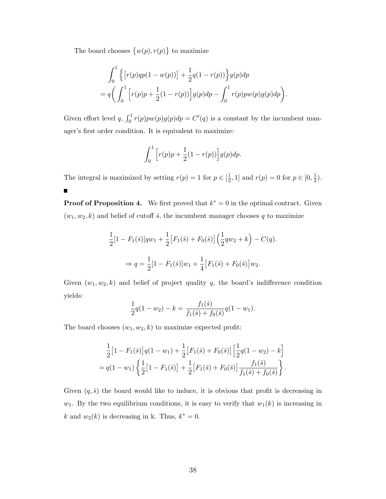The board chooses  $\{w(p), r(p)\}\)$  to maximize

 $\blacksquare$ 

$$
\int_0^1 \left\{ \left[ r(p)qp(1 - w(p)) \right] + \frac{1}{2}q(1 - r(p)) \right\} g(p) dp
$$
  
=  $q \left( \int_0^1 \left[ r(p)p + \frac{1}{2}(1 - r(p)) \right] g(p) dp - \int_0^1 r(p)pw(p)g(p) dp \right)$ 

.

Given effort level q,  $\int_0^1 r(p)pw(p)g(p)dp = C'(q)$  is a constant by the incumbent manager's first order condition. It is equivalent to maximize:

$$
\int_0^1 \left[ r(p)p + \frac{1}{2}(1 - r(p)) \right] g(p) dp.
$$

The integral is maximized by setting  $r(p) = 1$  for  $p \in \left[\frac{1}{2}\right]$  $\frac{1}{2}$ , 1] and  $r(p) = 0$  for  $p \in [0, \frac{1}{2}]$  $(\frac{1}{2})$ .

**Proof of Proposition 4.** We first proved that  $k^* = 0$  in the optimal contract. Given  $(w_1, w_2, k)$  and belief of cutoff  $\hat{s}$ , the incumbent manager chooses q to maximize

$$
\frac{1}{2}[1 - F_1(\hat{s})]qw_1 + \frac{1}{2}[F_1(\hat{s}) + F_0(\hat{s})] \left(\frac{1}{2}qw_2 + k\right) - C(q).
$$
  
\n
$$
\Rightarrow q = \frac{1}{2}[1 - F_1(\hat{s})]w_1 + \frac{1}{4}[F_1(\hat{s}) + F_0(\hat{s})]w_2.
$$

Given  $(w_1, w_2, k)$  and belief of project quality q, the board's indifference condition yields:

$$
\frac{1}{2}q(1-w_2) - k = \frac{f_1(\hat{s})}{f_1(\hat{s}) + f_0(\hat{s})}q(1-w_1).
$$

The board chooses  $(w_1, w_2, k)$  to maximize expected profit:

$$
\frac{1}{2}\left[1 - F_1(\hat{s})\right]q(1 - w_1) + \frac{1}{2}\left[F_1(\hat{s}) + F_0(\hat{s})\right]\left[\frac{1}{2}q(1 - w_2) - k\right]
$$

$$
= q(1 - w_1)\left\{\frac{1}{2}\left[1 - F_1(\hat{s})\right] + \frac{1}{2}\left[F_1(\hat{s}) + F_0(\hat{s})\right]\frac{f_1(\hat{s})}{f_1(\hat{s}) + f_0(\hat{s})}\right\}.
$$

Given  $(q, \hat{s})$  the board would like to induce, it is obvious that profit is decreasing in  $w_1$ . By the two equilibrium conditions, it is easy to verify that  $w_1(k)$  is increasing in k and  $w_2(k)$  is decreasing in k. Thus,  $k^* = 0$ .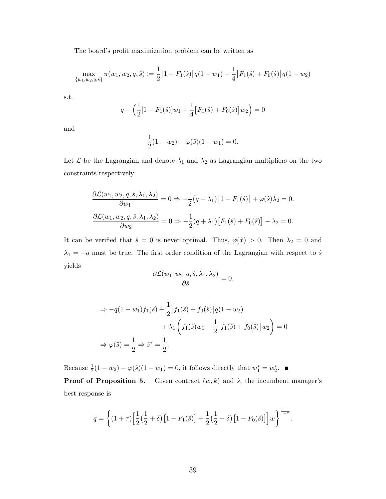The board's profit maximization problem can be written as

$$
\max_{\{w_1, w_2, q, \hat{s}\}} \pi(w_1, w_2, q, \hat{s}) := \frac{1}{2} \left[ 1 - F_1(\hat{s}) \right] q(1 - w_1) + \frac{1}{4} \left[ F_1(\hat{s}) + F_0(\hat{s}) \right] q(1 - w_2)
$$

s.t.

$$
q - \left(\frac{1}{2}[1 - F_1(\hat{s})]w_1 + \frac{1}{4}[F_1(\hat{s}) + F_0(\hat{s})]w_2\right) = 0
$$

and

$$
\frac{1}{2}(1-w_2) - \varphi(\hat{s})(1-w_1) = 0.
$$

Let  $\mathcal L$  be the Lagrangian and denote  $\lambda_1$  and  $\lambda_2$  as Lagrangian multipliers on the two constraints respectively.

$$
\frac{\partial \mathcal{L}(w_1, w_2, q, \hat{s}, \lambda_1, \lambda_2)}{\partial w_1} = 0 \Rightarrow -\frac{1}{2}(q + \lambda_1) [1 - F_1(\hat{s})] + \varphi(\hat{s})\lambda_2 = 0.
$$

$$
\frac{\partial \mathcal{L}(w_1, w_2, q, \hat{s}, \lambda_1, \lambda_2)}{\partial w_2} = 0 \Rightarrow -\frac{1}{2}(q + \lambda_1) [F_1(\hat{s}) + F_0(\hat{s})] - \lambda_2 = 0.
$$

It can be verified that  $\hat{s} = 0$  is never optimal. Thus,  $\varphi(\hat{x}) > 0$ . Then  $\lambda_2 = 0$  and  $\lambda_1 = -q$  must be true. The first order condition of the Lagrangian with respect to  $\hat{s}$ yields

$$
\frac{\partial \mathcal{L}(w_1, w_2, q, \hat{s}, \lambda_1, \lambda_2)}{\partial \hat{s}} = 0.
$$

$$
\Rightarrow -q(1-w_1)f_1(\hat{s}) + \frac{1}{2}[f_1(\hat{s}) + f_0(\hat{s})]q(1-w_2) \n+ \lambda_1 \left(f_1(\hat{s})w_1 - \frac{1}{2}[f_1(\hat{s}) + f_0(\hat{s})]w_2\right) = 0 \n\Rightarrow \varphi(\hat{s}) = \frac{1}{2} \Rightarrow \hat{s}^* = \frac{1}{2}.
$$

Because  $\frac{1}{2}(1 - w_2) - \varphi(\hat{s})(1 - w_1) = 0$ , it follows directly that  $w_1^* = w_2^*$ . **Proof of Proposition 5.** Given contract  $(w, k)$  and  $\hat{s}$ , the incumbent manager's best response is

$$
q = \left\{ (1+\tau) \left[ \frac{1}{2} \left( \frac{1}{2} + \delta \right) \left[ 1 - F_1(\hat{s}) \right] + \frac{1}{2} \left( \frac{1}{2} - \delta \right) \left[ 1 - F_0(\hat{s}) \right] \right] w \right\}^{\frac{1}{1-\tau}}.
$$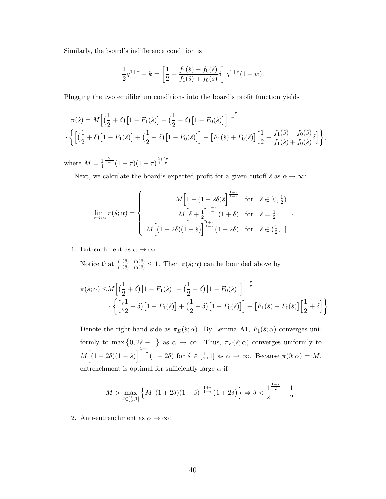Similarly, the board's indifference condition is

$$
\frac{1}{2}q^{1+\tau} - k = \left[\frac{1}{2} + \frac{f_1(\hat{s}) - f_0(\hat{s})}{f_1(\hat{s}) + f_0(\hat{s})}\delta\right]q^{1+\tau}(1-w).
$$

Plugging the two equilibrium conditions into the board's profit function yields

$$
\pi(\hat{s}) = M \left[ \left( \frac{1}{2} + \delta \right) \left[ 1 - F_1(\hat{s}) \right] + \left( \frac{1}{2} - \delta \right) \left[ 1 - F_0(\hat{s}) \right] \right]^{\frac{1+\tau}{1-\tau}} \n\cdot \left\{ \left[ \left( \frac{1}{2} + \delta \right) \left[ 1 - F_1(\hat{s}) \right] + \left( \frac{1}{2} - \delta \right) \left[ 1 - F_0(\hat{s}) \right] \right] + \left[ F_1(\hat{s}) + F_0(\hat{s}) \right] \left[ \frac{1}{2} + \frac{f_1(\hat{s}) - f_0(\hat{s})}{f_1(\hat{s}) + f_0(\hat{s})} \delta \right] \right\},
$$

where  $M=\frac{1}{4}$ 4  $\frac{2}{1-\tau}(1-\tau)(1+\tau)^{\frac{2+2\tau}{1-\tau}}$ .

Next, we calculate the board's expected profit for a given cutoff  $\hat{s}$  as  $\alpha \to \infty$ :

$$
\lim_{\alpha \to \infty} \pi(\hat{s}; \alpha) = \begin{cases}\nM\left[1 - (1 - 2\delta)\hat{s}\right]^{\frac{1+\tau}{1-\tau}} & \text{for } \hat{s} \in [0, \frac{1}{2}) \\
M\left[\delta + \frac{1}{2}\right]^{\frac{1+\tau}{1-\tau}}(1+\delta) & \text{for } \hat{s} = \frac{1}{2} \\
M\left[(1 + 2\delta)(1 - \hat{s})\right]^{\frac{1+\tau}{1-\tau}}(1+2\delta) & \text{for } \hat{s} \in (\frac{1}{2}, 1]\n\end{cases}
$$

.

1. Entrenchment as  $\alpha \to \infty$ :

Notice that  $\frac{f_1(\hat{s}) - f_0(\hat{s})}{f_1(\hat{s}) + f_0(\hat{s})} \leq 1$ . Then  $\pi(\hat{s}; \alpha)$  can be bounded above by

$$
\pi(\hat{s};\alpha) \leq M \left[ \left( \frac{1}{2} + \delta \right) \left[ 1 - F_1(\hat{s}) \right] + \left( \frac{1}{2} - \delta \right) \left[ 1 - F_0(\hat{s}) \right] \right]^{\frac{1+\tau}{1-\tau}} \cdot \left\{ \left[ \left( \frac{1}{2} + \delta \right) \left[ 1 - F_1(\hat{s}) \right] + \left( \frac{1}{2} - \delta \right) \left[ 1 - F_0(\hat{s}) \right] \right] + \left[ F_1(\hat{s}) + F_0(\hat{s}) \right] \left[ \frac{1}{2} + \delta \right] \right\}.
$$

Denote the right-hand side as  $\pi_E(\hat{s}; \alpha)$ . By Lemma A1,  $F_1(\hat{s}; \alpha)$  converges uniformly to max  $\{0, 2\hat{s} - 1\}$  as  $\alpha \to \infty$ . Thus,  $\pi_E(\hat{s}; \alpha)$  converges uniformly to  $M\Big[(1+2\delta)(1-\hat{s})\Big]^{\frac{1+\tau}{1-\tau}}(1+2\delta) \text{ for } \hat{s} \in \left[\frac{1}{2}\right]$  $\frac{1}{2}$ , 1] as  $\alpha \to \infty$ . Because  $\pi(0; \alpha) = M$ , entrenchment is optimal for sufficiently large  $\alpha$  if

$$
M > \max_{\hat{s} \in [\frac{1}{2},1]} \left\{ M \big[ (1+2\delta)(1-\hat{s}) \big]^{\frac{1+\tau}{1-\tau}} \big( 1+2\delta \big) \right\} \Rightarrow \delta < \frac{1}{2}^{\frac{1-\tau}{2}} - \frac{1}{2}.
$$

2. Anti-entrenchment as  $\alpha \to \infty$ :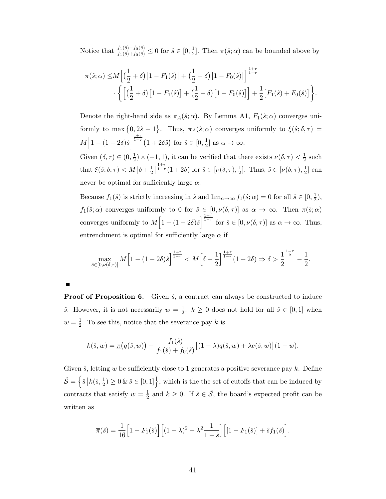Notice that  $\frac{f_1(\hat{s}) - f_0(\hat{s})}{f_1(\hat{s}) + f_0(\hat{s})} \leq 0$  for  $\hat{s} \in [0, \frac{1}{2}]$  $\frac{1}{2}$ . Then  $\pi(\hat{s}; \alpha)$  can be bounded above by

$$
\pi(\hat{s}; \alpha) \le M \left[ \left( \frac{1}{2} + \delta \right) \left[ 1 - F_1(\hat{s}) \right] + \left( \frac{1}{2} - \delta \right) \left[ 1 - F_0(\hat{s}) \right] \right]^{\frac{1+\tau}{1-\tau}} \cdot \left\{ \left[ \left( \frac{1}{2} + \delta \right) \left[ 1 - F_1(\hat{s}) \right] + \left( \frac{1}{2} - \delta \right) \left[ 1 - F_0(\hat{s}) \right] \right] + \frac{1}{2} \left[ F_1(\hat{s}) + F_0(\hat{s}) \right] \right\}.
$$

Denote the right-hand side as  $\pi_A(\hat{s}; \alpha)$ . By Lemma A1,  $F_1(\hat{s}; \alpha)$  converges uniformly to max  $\{0, 2\hat{s} - 1\}$ . Thus,  $\pi_A(\hat{s}; \alpha)$  converges uniformly to  $\xi(\hat{s}; \delta, \tau) =$  $M\Big[1-(1-2\delta)\hat{s}\Big]^{\frac{1+\tau}{1-\tau}}(1+2\delta\hat{s})\,\text{ for }\hat{s}\in[0,\frac{1}{2}].$  $\frac{1}{2}$  as  $\alpha \to \infty$ . Given  $(\delta, \tau) \in (0, \frac{1}{2})$  $\frac{1}{2}$  \land \land \land \land \land \land \land \land \land \land \land \land \land \land \land \land \land \land \land \land \land \land \land \land \land \land \land \land \land \land \land \land \land \land \land \  $rac{1}{2}$  such

that  $\xi(\hat{s}; \delta, \tau) < M[\delta + \frac{1}{2}]$  $\frac{1}{2}$ ]  $\frac{1+\tau}{1-\tau}(1+2\delta)$  for  $\hat{s} \in [\nu(\delta, \tau), \frac{1}{2}]$  $\frac{1}{2}$ ]. Thus,  $\hat{s} \in [\nu(\delta, \tau), \frac{1}{2}]$  $\frac{1}{2}$  can never be optimal for sufficiently large  $\alpha$ .

Because  $f_1(\hat{s})$  is strictly increasing in  $\hat{s}$  and  $\lim_{\alpha\to\infty} f_1(\hat{s};\alpha) = 0$  for all  $\hat{s} \in [0, \frac{1}{2}]$  $(\frac{1}{2}),$  $f_1(\hat{s}; \alpha)$  converges uniformly to 0 for  $\hat{s} \in [0, \nu(\delta, \tau)]$  as  $\alpha \to \infty$ . Then  $\pi(\hat{s}; \alpha)$ converges uniformly to  $M\left[1-(1-2\delta)\hat{s}\right]^{\frac{1+\tau}{1-\tau}}$  for  $\hat{s}\in[0,\nu(\delta,\tau)]$  as  $\alpha\to\infty$ . Thus, entrenchment is optimal for sufficiently large  $\alpha$  if

$$
\max_{\hat{s}\in[0,\nu(\delta,\tau)]} M\left[1 - (1-2\delta)\hat{s}\right]^{\frac{1+\tau}{1-\tau}} < M\left[\delta + \frac{1}{2}\right]^{\frac{1+\tau}{1-\tau}} (1+2\delta) \Rightarrow \delta > \frac{1}{2}^{\frac{1-\tau}{2}} - \frac{1}{2}.
$$

**Proof of Proposition 6.** Given  $\hat{s}$ , a contract can always be constructed to induce ŝ. However, it is not necessarily  $w = \frac{1}{2}$  $\frac{1}{2}$ .  $k \geq 0$  does not hold for all  $\hat{s} \in [0,1]$  when  $w=\frac{1}{2}$  $\frac{1}{2}$ . To see this, notice that the severance pay k is

$$
k(\hat{s}, w) = \underline{\pi}(q(\hat{s}, w)) - \frac{f_1(\hat{s})}{f_1(\hat{s}) + f_0(\hat{s})} [(1 - \lambda)q(\hat{s}, w) + \lambda e(\hat{s}, w)](1 - w).
$$

Given  $\hat{s}$ , letting w be sufficiently close to 1 generates a positive severance pay k. Define  $\hat{\mathcal{S}} = \left\{ \hat{s} \, \big| k(\hat{s}, \frac{1}{2}) \geq 0 \, \& \, \hat{s} \in [0, 1] \right\}$ , which is the the set of cutoffs that can be induced by contracts that satisfy  $w=\frac{1}{2}$  $\frac{1}{2}$  and  $k \geq 0$ . If  $\hat{s} \in \hat{\mathcal{S}}$ , the board's expected profit can be written as

$$
\overline{\pi}(\hat{s}) = \frac{1}{16} \Big[ 1 - F_1(\hat{s}) \Big] \Big[ (1 - \lambda)^2 + \lambda^2 \frac{1}{1 - \hat{s}} \Big] \Big[ [1 - F_1(\hat{s})] + \hat{s} f_1(\hat{s}) \Big].
$$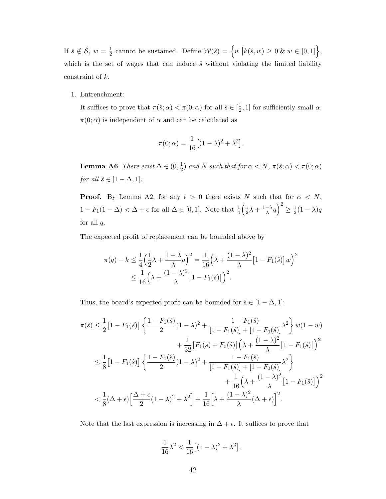If  $\hat{s} \notin \hat{\mathcal{S}}$ ,  $w = \frac{1}{2}$  $\frac{1}{2}$  cannot be sustained. Define  $\mathcal{W}(\hat{s}) = \left\{ w \, \big| k(\hat{s}, w) \geq 0 \, \& \, w \in [0, 1] \right\},\$ which is the set of wages that can induce  $\hat{s}$  without violating the limited liability constraint of k.

#### 1. Entrenchment:

It suffices to prove that  $\pi(\hat{s}; \alpha) < \pi(0; \alpha)$  for all  $\hat{s} \in \left[\frac{1}{2}\right]$  $\frac{1}{2}$ , 1] for sufficiently small  $\alpha$ .  $\pi(0; \alpha)$  is independent of  $\alpha$  and can be calculated as

$$
\pi(0;\alpha) = \frac{1}{16} \big[ (1-\lambda)^2 + \lambda^2 \big].
$$

**Lemma A6** There exist  $\Delta \in (0, \frac{1}{2})$  $(\frac{1}{2})$  and N such that for  $\alpha < N$ ,  $\pi(\hat{s}; \alpha) < \pi(0; \alpha)$ for all  $\hat{s} \in [1 - \Delta, 1].$ 

**Proof.** By Lemma A2, for any  $\epsilon > 0$  there exists N such that for  $\alpha < N$ ,  $1 - F_1(1 - \Delta) < \Delta + \epsilon$  for all  $\Delta \in [0, 1]$ . Note that  $\frac{1}{4}(\frac{1}{2})$  $\frac{1}{2}\lambda + \frac{1-\lambda}{\lambda}$  $\frac{-\lambda}{\lambda}q\Big)^2\geq\frac{1}{2}$  $\frac{1}{2}(1-\lambda)q$ for all  $q$ .

The expected profit of replacement can be bounded above by

$$
\underline{\pi}(q) - k \le \frac{1}{4} \left(\frac{1}{2}\lambda + \frac{1-\lambda}{\lambda}q\right)^2 = \frac{1}{16} \left(\lambda + \frac{(1-\lambda)^2}{\lambda} \left[1 - F_1(\hat{s})\right]w\right)^2
$$
  

$$
\le \frac{1}{16} \left(\lambda + \frac{(1-\lambda)^2}{\lambda} \left[1 - F_1(\hat{s})\right]\right)^2.
$$

Thus, the board's expected profit can be bounded for  $\hat{s} \in [1 - \Delta, 1]$ :

$$
\pi(\hat{s}) \leq \frac{1}{2} \left[ 1 - F_1(\hat{s}) \right] \left\{ \frac{1 - F_1(\hat{s})}{2} (1 - \lambda)^2 + \frac{1 - F_1(\hat{s})}{[1 - F_1(\hat{s})] + [1 - F_0(\hat{s})]} \lambda^2 \right\} w(1 - w) \n+ \frac{1}{32} \left[ F_1(\hat{s}) + F_0(\hat{s}) \right] \left( \lambda + \frac{(1 - \lambda)^2}{\lambda} [1 - F_1(\hat{s})] \right)^2 \n\leq \frac{1}{8} \left[ 1 - F_1(\hat{s}) \right] \left\{ \frac{1 - F_1(\hat{s})}{2} (1 - \lambda)^2 + \frac{1 - F_1(\hat{s})}{[1 - F_1(\hat{s})] + [1 - F_0(\hat{s})]} \lambda^2 \right\} \n+ \frac{1}{16} \left( \lambda + \frac{(1 - \lambda)^2}{\lambda} [1 - F_1(\hat{s})] \right)^2 \n< \frac{1}{8} (\Delta + \epsilon) \left[ \frac{\Delta + \epsilon}{2} (1 - \lambda)^2 + \lambda^2 \right] + \frac{1}{16} \left[ \lambda + \frac{(1 - \lambda)^2}{\lambda} (\Delta + \epsilon) \right]^2.
$$

Note that the last expression is increasing in  $\Delta + \epsilon$ . It suffices to prove that

$$
\frac{1}{16}\lambda^2 < \frac{1}{16} \left[ (1 - \lambda)^2 + \lambda^2 \right].
$$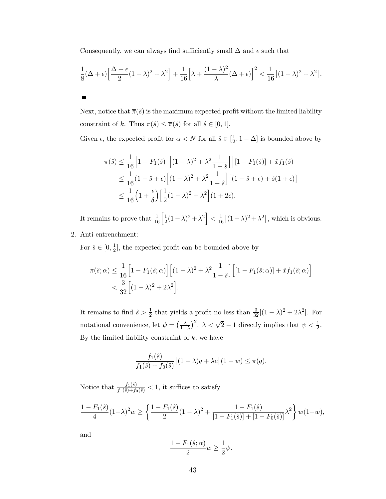Consequently, we can always find sufficiently small  $\Delta$  and  $\epsilon$  such that

$$
\frac{1}{8}(\Delta+\epsilon)\left[\frac{\Delta+\epsilon}{2}(1-\lambda)^2+\lambda^2\right]+\frac{1}{16}\left[\lambda+\frac{(1-\lambda)^2}{\lambda}(\Delta+\epsilon)\right]^2<\frac{1}{16}\left[(1-\lambda)^2+\lambda^2\right].
$$

Next, notice that  $\bar{\pi}(\hat{s})$  is the maximum expected profit without the limited liability constraint of k. Thus  $\pi(\hat{s}) \leq \overline{\pi}(\hat{s})$  for all  $\hat{s} \in [0, 1]$ .

Given  $\epsilon$ , the expected profit for  $\alpha < N$  for all  $\hat{s} \in \left[\frac{1}{2}\right]$  $(\frac{1}{2}, 1 - \Delta]$  is bounded above by

$$
\pi(\hat{s}) \le \frac{1}{16} \Big[ 1 - F_1(\hat{s}) \Big] \Big[ (1 - \lambda)^2 + \lambda^2 \frac{1}{1 - \hat{s}} \Big] \Big[ [1 - F_1(\hat{s})] + \hat{x} f_1(\hat{s}) \Big] \le \frac{1}{16} (1 - \hat{s} + \epsilon) \Big[ (1 - \lambda)^2 + \lambda^2 \frac{1}{1 - \hat{s}} \Big] \Big[ (1 - \hat{s} + \epsilon) + \hat{s} (1 + \epsilon) \Big] \le \frac{1}{16} \Big( 1 + \frac{\epsilon}{\delta} \Big) \Big[ \frac{1}{2} (1 - \lambda)^2 + \lambda^2 \Big] (1 + 2\epsilon).
$$

It remains to prove that  $\frac{1}{16}$   $\left[\frac{1}{2}\right]$  $\left|\frac{1}{2}(1-\lambda)^2 + \lambda^2\right| < \frac{1}{16}\left[(1-\lambda)^2 + \lambda^2\right]$ , which is obvious.

2. Anti-entrenchment:

 $\blacksquare$ 

For  $\hat{s} \in [0, \frac{1}{2}]$  $\frac{1}{2}$ , the expected profit can be bounded above by

$$
\pi(\hat{s};\alpha) \le \frac{1}{16} \Big[ 1 - F_1(\hat{s};\alpha) \Big] \Big[ (1-\lambda)^2 + \lambda^2 \frac{1}{1-\hat{s}} \Big] \Big[ [1 - F_1(\hat{s};\alpha)] + \hat{x} f_1(\hat{s};\alpha) \Big] \n< \frac{3}{32} \Big[ (1-\lambda)^2 + 2\lambda^2 \Big].
$$

It remains to find  $\hat{s} > \frac{1}{2}$  that yields a profit no less than  $\frac{3}{32}[(1-\lambda)^2 + 2\lambda^2]$ . For notational convenience, let  $\psi = \left(\frac{\lambda}{1-\lambda}\right)^2$ .  $\lambda < \sqrt{2}-1$  directly implies that  $\psi < \frac{1}{2}$ . By the limited liability constraint of  $k$ , we have

$$
\frac{f_1(\hat{s})}{f_1(\hat{s})+f_0(\hat{s})}\big[(1-\lambda)q+\lambda e\big](1-w)\leq \underline{\pi}(q).
$$

Notice that  $\frac{f_1(\hat{s})}{f_1(\hat{s})+f_0(\hat{s})} < 1$ , it suffices to satisfy

$$
\frac{1 - F_1(\hat{s})}{4} (1 - \lambda)^2 w \ge \left\{ \frac{1 - F_1(\hat{s})}{2} (1 - \lambda)^2 + \frac{1 - F_1(\hat{s})}{[1 - F_1(\hat{s})] + [1 - F_0(\hat{s})]} \lambda^2 \right\} w(1 - w),
$$

and

$$
\frac{1 - F_1(\hat{s}; \alpha)}{2} w \ge \frac{1}{2} \psi.
$$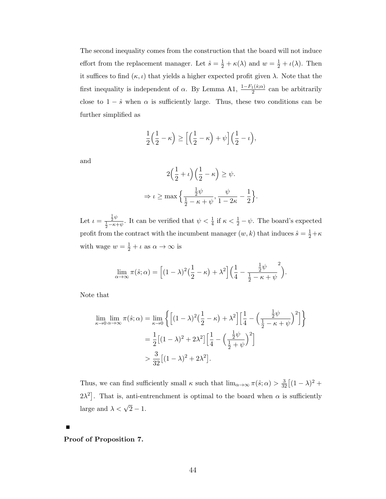The second inequality comes from the construction that the board will not induce effort from the replacement manager. Let  $\hat{s} = \frac{1}{2} + \kappa(\lambda)$  and  $w = \frac{1}{2} + \iota(\lambda)$ . Then it suffices to find  $(\kappa, \iota)$  that yields a higher expected profit given  $\lambda$ . Note that the first inequality is independent of  $\alpha$ . By Lemma A1,  $\frac{1-F_1(\hat{s};\alpha)}{2}$  can be arbitrarily close to  $1 - \hat{s}$  when  $\alpha$  is sufficiently large. Thus, these two conditions can be further simplified as

$$
\frac{1}{2}\left(\frac{1}{2}-\kappa\right) \ge \left[\left(\frac{1}{2}-\kappa\right)+\psi\right]\left(\frac{1}{2}-\iota\right),\end{aligned}
$$

and

$$
2\left(\frac{1}{2} + \iota\right)\left(\frac{1}{2} - \kappa\right) \ge \psi.
$$
  

$$
\Rightarrow \iota \ge \max\left\{\frac{\frac{1}{2}\psi}{\frac{1}{2} - \kappa + \psi}, \frac{\psi}{1 - 2\kappa} - \frac{1}{2}\right\}.
$$

Let  $\iota = \frac{\frac{1}{2}\psi}{\frac{1}{2}-\kappa+\psi}$ . It can be verified that  $\psi < \frac{1}{4}$  if  $\kappa < \frac{1}{2}-\psi$ . The board's expected profit from the contract with the incumbent manager  $(w, k)$  that induces  $\hat{s} = \frac{1}{2} + \kappa$ with wage  $w = \frac{1}{2} + \iota$  as  $\alpha \to \infty$  is

$$
\lim_{\alpha \to \infty} \pi(\hat{s}; \alpha) = \left[ (1 - \lambda)^2 \left( \frac{1}{2} - \kappa \right) + \lambda^2 \right] \left( \frac{1}{4} - \frac{\frac{1}{2} \psi}{\frac{1}{2} - \kappa + \psi} \right).
$$

Note that

$$
\lim_{\kappa \to 0} \lim_{\alpha \to \infty} \pi(\hat{s}; \alpha) = \lim_{\kappa \to 0} \left\{ \left[ (1 - \lambda)^2 \left( \frac{1}{2} - \kappa \right) + \lambda^2 \right] \left[ \frac{1}{4} - \left( \frac{\frac{1}{2}\psi}{\frac{1}{2} - \kappa + \psi} \right)^2 \right] \right\}
$$
\n
$$
= \frac{1}{2} \left[ (1 - \lambda)^2 + 2\lambda^2 \right] \left[ \frac{1}{4} - \left( \frac{\frac{1}{2}\psi}{\frac{1}{2} + \psi} \right)^2 \right]
$$
\n
$$
> \frac{3}{32} \left[ (1 - \lambda)^2 + 2\lambda^2 \right].
$$

Thus, we can find sufficiently small  $\kappa$  such that  $\lim_{\alpha\to\infty} \pi(\hat{s}; \alpha) > \frac{3}{32} \left[ (1-\lambda)^2 +$  $2\lambda^2$ . That is, anti-entrenchment is optimal to the board when  $\alpha$  is sufficiently large and  $\lambda < \sqrt{2} - 1$ .

Proof of Proposition 7.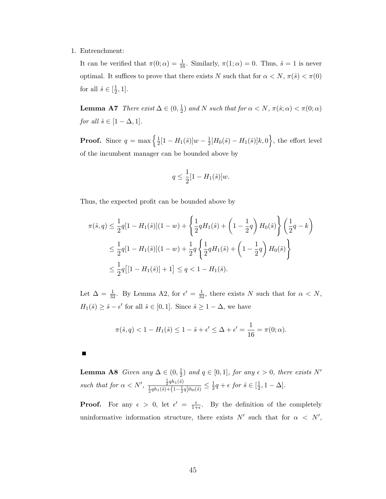1. Entrenchment:

It can be verified that  $\pi(0; \alpha) = \frac{1}{16}$ . Similarly,  $\pi(1; \alpha) = 0$ . Thus,  $\hat{s} = 1$  is never optimal. It suffices to prove that there exists N such that for  $\alpha < N$ ,  $\pi(\hat{s}) < \pi(0)$ for all  $\hat{s} \in \left[\frac{1}{2}\right]$  $\frac{1}{2}, 1].$ 

**Lemma A7** There exist  $\Delta \in (0, \frac{1}{2})$  $\frac{1}{2}$ ) and N such that for  $\alpha < N$ ,  $\pi(\hat{s}; \alpha) < \pi(0; \alpha)$ for all  $\hat{s} \in [1 - \Delta, 1].$ 

**Proof.** Since  $q = \max\left\{\frac{1}{2}\right\}$  $\frac{1}{2}[1-H_1(\hat{s})]w - \frac{1}{2}$  $\frac{1}{2}[H_0(\hat{s}) - H_1(\hat{s})]k,0\Big\}$ , the effort level of the incumbent manager can be bounded above by

$$
q \le \frac{1}{2}[1 - H_1(\hat{s})]w.
$$

Thus, the expected profit can be bounded above by

$$
\pi(\hat{s}, q) \le \frac{1}{2}q[1 - H_1(\hat{s})](1 - w) + \left\{\frac{1}{2}qH_1(\hat{s}) + \left(1 - \frac{1}{2}q\right)H_0(\hat{s})\right\} \left(\frac{1}{2}q - k\right)
$$
  

$$
\le \frac{1}{2}q[1 - H_1(\hat{s})](1 - w) + \frac{1}{2}q\left\{\frac{1}{2}qH_1(\hat{s}) + \left(1 - \frac{1}{2}q\right)H_0(\hat{s})\right\}
$$
  

$$
\le \frac{1}{2}q\left[1 - H_1(\hat{s})\right] + 1] \le q < 1 - H_1(\hat{s}).
$$

Let  $\Delta = \frac{1}{32}$ . By Lemma A2, for  $\epsilon' = \frac{1}{32}$ , there exists N such that for  $\alpha < N$ ,  $H_1(\hat{s}) \geq \hat{s} - \epsilon'$  for all  $\hat{s} \in [0, 1]$ . Since  $\hat{s} \geq 1 - \Delta$ , we have

$$
\pi(\hat{s}, q) < 1 - H_1(\hat{s}) \le 1 - \hat{s} + \epsilon' \le \Delta + \epsilon' = \frac{1}{16} = \pi(0; \alpha).
$$

Lemma A8 Given any  $\Delta \in (0, \frac{1}{2})$  $\frac{1}{2}$ ) and  $q \in [0,1]$ , for any  $\epsilon > 0$ , there exists N' such that for  $\alpha < N'$ ,  $\frac{\frac{1}{2}qh_1(\hat{s})}{\frac{1}{2}qh_1(\hat{s}) + (1 - \frac{1}{2}q)h_0(\hat{s})} \leq \frac{1}{2}$  $\frac{1}{2}q + \epsilon$  for  $\hat{s} \in [\frac{1}{2}]$  $\frac{1}{2}, 1 - \Delta$ .

**Proof.** For any  $\epsilon > 0$ , let  $\epsilon' = \frac{\epsilon}{1+\epsilon}$  $\frac{\epsilon}{1+\epsilon}$ . By the definition of the completely uninformative information structure, there exists N' such that for  $\alpha \langle N',\rangle$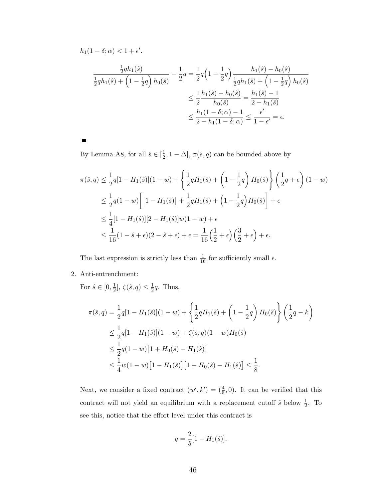$h_1(1-\delta;\alpha) < 1+\epsilon'.$ 

$$
\frac{\frac{1}{2}qh_1(\hat{s})}{\frac{1}{2}qh_1(\hat{s}) + \left(1 - \frac{1}{2}q\right)h_0(\hat{s})} - \frac{1}{2}q = \frac{1}{2}q\left(1 - \frac{1}{2}q\right)\frac{h_1(\hat{s}) - h_0(\hat{s})}{\frac{1}{2}qh_1(\hat{s}) + \left(1 - \frac{1}{2}q\right)h_0(\hat{s})}
$$
\n
$$
\leq \frac{1}{2}\frac{h_1(\hat{s}) - h_0(\hat{s})}{h_0(\hat{s})} = \frac{h_1(\hat{s}) - 1}{2 - h_1(\hat{s})}
$$
\n
$$
\leq \frac{h_1(1 - \delta; \alpha) - 1}{2 - h_1(1 - \delta; \alpha)} \leq \frac{\epsilon'}{1 - \epsilon'} = \epsilon.
$$

П

By Lemma A8, for all  $\hat{s} \in \left[\frac{1}{2}\right]$  $(\frac{1}{2}, 1 - \Delta], \pi(\hat{s}, q)$  can be bounded above by

$$
\pi(\hat{s}, q) \le \frac{1}{2}q[1 - H_1(\hat{s})](1 - w) + \left\{\frac{1}{2}qH_1(\hat{s}) + \left(1 - \frac{1}{2}q\right)H_0(\hat{s})\right\} \left(\frac{1}{2}q + \epsilon\right)(1 - w) \n\le \frac{1}{2}q(1 - w)\left[\left[1 - H_1(\hat{s})\right] + \frac{1}{2}qH_1(\hat{s}) + \left(1 - \frac{1}{2}q\right)H_0(\hat{s})\right] + \epsilon \n\le \frac{1}{4}\left[1 - H_1(\hat{s})\right][2 - H_1(\hat{s})]w(1 - w) + \epsilon \n\le \frac{1}{16}(1 - \hat{s} + \epsilon)(2 - \hat{s} + \epsilon) + \epsilon = \frac{1}{16}\left(\frac{1}{2} + \epsilon\right)\left(\frac{3}{2} + \epsilon\right) + \epsilon.
$$

The last expression is strictly less than  $\frac{1}{16}$  for sufficiently small  $\epsilon$ .

2. Anti-entrenchment:

For  $\hat{s} \in [0, \frac{1}{2}]$  $\frac{1}{2}$ ,  $\zeta(\hat{s}, q) \leq \frac{1}{2}$  $\frac{1}{2}q$ . Thus,

$$
\pi(\hat{s}, q) = \frac{1}{2}q[1 - H_1(\hat{s})](1 - w) + \left\{\frac{1}{2}qH_1(\hat{s}) + \left(1 - \frac{1}{2}q\right)H_0(\hat{s})\right\} \left(\frac{1}{2}q - k\right)
$$
  
\n
$$
\leq \frac{1}{2}q[1 - H_1(\hat{s})](1 - w) + \zeta(\hat{s}, q)(1 - w)H_0(\hat{s})
$$
  
\n
$$
\leq \frac{1}{2}q(1 - w)[1 + H_0(\hat{s}) - H_1(\hat{s})]
$$
  
\n
$$
\leq \frac{1}{4}w(1 - w)[1 - H_1(\hat{s})][1 + H_0(\hat{s}) - H_1(\hat{s})] \leq \frac{1}{8}.
$$

Next, we consider a fixed contract  $(w', k') = (\frac{4}{5}, 0)$ . It can be verified that this contract will not yield an equilibrium with a replacement cutoff  $\hat{s}$  below  $\frac{1}{2}$ . To see this, notice that the effort level under this contract is

$$
q = \frac{2}{5} [1 - H_1(\hat{s})].
$$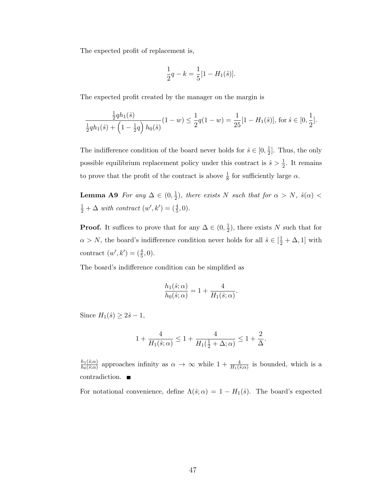The expected profit of replacement is,

$$
\frac{1}{2}q - k = \frac{1}{5}[1 - H_1(\hat{s})].
$$

The expected profit created by the manager on the margin is

$$
\frac{\frac{1}{2}qh_1(\hat{s})}{\frac{1}{2}qh_1(\hat{s}) + \left(1 - \frac{1}{2}q\right)h_0(\hat{s})}(1 - w) \le \frac{1}{2}q(1 - w) = \frac{1}{25}[1 - H_1(\hat{s})], \text{ for } \hat{s} \in [0, \frac{1}{2}].
$$

The indifference condition of the board never holds for  $\hat{s} \in [0, \frac{1}{2}]$  $\frac{1}{2}$ . Thus, the only possible equilibrium replacement policy under this contract is  $\hat{s} > \frac{1}{2}$ . It remains to prove that the profit of the contract is above  $\frac{1}{8}$  for sufficiently large  $\alpha$ .

Lemma A9 For any  $\Delta \in (0, \frac{1}{2})$  $(\frac{1}{2})$ , there exists N such that for  $\alpha > N$ ,  $\hat{s}(\alpha) <$  $\frac{1}{2} + \Delta$  with contract  $(w', k') = (\frac{4}{5}, 0)$ .

**Proof.** It suffices to prove that for any  $\Delta \in (0, \frac{1}{2})$  $(\frac{1}{2})$ , there exists N such that for  $\alpha > N$ , the board's indifference condition never holds for all  $\hat{s} \in [\frac{1}{2} + \Delta, 1]$  with contract  $(w', k') = (\frac{4}{5}, 0).$ 

The board's indifference condition can be simplified as

$$
\frac{h_1(\hat{s};\alpha)}{h_0(\hat{s};\alpha)}=1+\frac{4}{H_1(\hat{s};\alpha)}.
$$

Since  $H_1(\hat{s}) \geq 2\hat{s} - 1$ ,

$$
1 + \frac{4}{H_1(\hat{s}; \alpha)} \le 1 + \frac{4}{H_1(\frac{1}{2} + \Delta; \alpha)} \le 1 + \frac{2}{\Delta}.
$$

 $h_1(\hat{s};\alpha)$  $\frac{h_1(\hat{s};\alpha)}{h_0(\hat{s};\alpha)}$  approaches infinity as  $\alpha \to \infty$  while  $1 + \frac{4}{H_1(\hat{s};\alpha)}$  is bounded, which is a contradiction.

For notational convenience, define  $\Lambda(\hat{s}; \alpha) = 1 - H_1(\hat{s})$ . The board's expected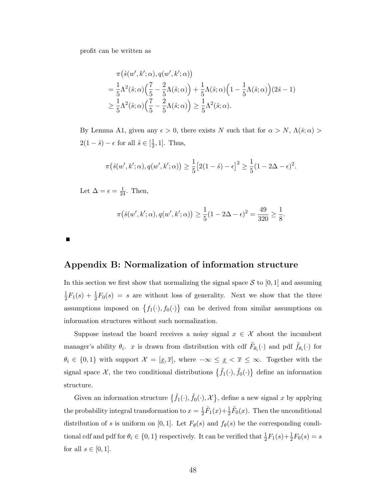profit can be written as

$$
\pi(\hat{s}(w',k';\alpha),q(w',k';\alpha))
$$
\n
$$
=\frac{1}{5}\Lambda^{2}(\hat{s};\alpha)\left(\frac{7}{5}-\frac{2}{5}\Lambda(\hat{s};\alpha)\right)+\frac{1}{5}\Lambda(\hat{s};\alpha)\left(1-\frac{1}{5}\Lambda(\hat{s};\alpha)\right)(2\hat{s}-1)
$$
\n
$$
\geq \frac{1}{5}\Lambda^{2}(\hat{s};\alpha)\left(\frac{7}{5}-\frac{2}{5}\Lambda(\hat{s};\alpha)\right) \geq \frac{1}{5}\Lambda^{2}(\hat{s};\alpha).
$$

By Lemma A1, given any  $\epsilon > 0$ , there exists N such that for  $\alpha > N$ ,  $\Lambda(\hat{s}; \alpha) >$  $2(1-\hat{s})-\epsilon$  for all  $\hat{s}\in\left[\frac{1}{2}\right]$  $\frac{1}{2}$ , 1]. Thus,

$$
\pi(\hat{s}(w',k';\alpha), q(w',k';\alpha)) \ge \frac{1}{5} [2(1-\hat{s}) - \epsilon]^2 \ge \frac{1}{5} (1 - 2\Delta - \epsilon)^2.
$$

Let  $\Delta = \epsilon = \frac{1}{24}$ . Then,

$$
\pi(\hat{s}(w',k';\alpha), q(w',k';\alpha)) \ge \frac{1}{5}(1 - 2\Delta - \epsilon)^2 = \frac{49}{320} \ge \frac{1}{8}.
$$

 $\blacksquare$ 

### Appendix B: Normalization of information structure

In this section we first show that normalizing the signal space  $S$  to [0, 1] and assuming 1  $\frac{1}{2}F_1(s) + \frac{1}{2}F_0(s) = s$  are without loss of generality. Next we show that the three assumptions imposed on  $\{f_1(\cdot), f_0(\cdot)\}\)$  can be derived from similar assumptions on information structures without such normalization.

Suppose instead the board receives a noisy signal  $x \in \mathcal{X}$  about the incumbent manager's ability  $\theta_i$ . x is drawn from distribution with cdf  $\tilde{F}_{\theta_i}(\cdot)$  and pdf  $\tilde{f}_{\theta_i}(\cdot)$  for  $\theta_i \in \{0,1\}$  with support  $\mathcal{X} = [\underline{x}, \overline{x}]$ , where  $-\infty \leq \underline{x} < \overline{x} \leq \infty$ . Together with the signal space X, the two conditional distributions  $\{\tilde{f}_1(\cdot), \tilde{f}_0(\cdot)\}\$  define an information structure.

Given an information structure  $\{\tilde{f}_1(\cdot), \tilde{f}_0(\cdot), \mathcal{X}\}\,$  define a new signal x by applying the probability integral transformation to  $x=\frac{1}{2}$  $\frac{1}{2}\tilde{F}_1(x)+\frac{1}{2}\tilde{F}_0(x)$ . Then the unconditional distribution of s is uniform on [0, 1]. Let  $F_{\theta}(s)$  and  $f_{\theta}(s)$  be the corresponding conditional cdf and pdf for  $\theta_i \in \{0, 1\}$  respectively. It can be verified that  $\frac{1}{2}F_1(s) + \frac{1}{2}F_0(s) = s$ for all  $s \in [0,1]$ .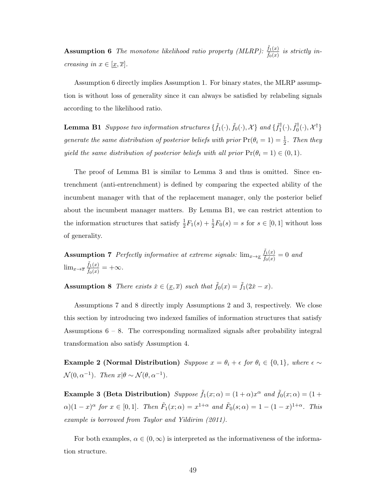**Assumption 6** The monotone likelihood ratio property (MLRP):  $\frac{\tilde{f}_1(x)}{\tilde{f}_2(x)}$  $\frac{f_1(x)}{\tilde{f}_0(x)}$  is strictly increasing in  $x \in [\underline{x}, \overline{x}].$ 

Assumption 6 directly implies Assumption 1. For binary states, the MLRP assumption is without loss of generality since it can always be satisfied by relabeling signals according to the likelihood ratio.

**Lemma B1** Suppose two information structures  $\{\tilde{f}_1(\cdot), \tilde{f}_0(\cdot), \mathcal{X}\}$  and  $\{\tilde{f}_1^{\dagger}$  $\tilde{f}_1^\dagger(\cdot), \tilde{f}_0^\dagger$  $\{0}^{\dagger}(\cdot), \mathcal{X}^{\dagger}\}$ generate the same distribution of posterior beliefs with prior  $Pr(\theta_i = 1) = \frac{1}{2}$ . Then they yield the same distribution of posterior beliefs with all prior  $Pr(\theta_i = 1) \in (0, 1)$ .

The proof of Lemma B1 is similar to Lemma 3 and thus is omitted. Since entrenchment (anti-entrenchment) is defined by comparing the expected ability of the incumbent manager with that of the replacement manager, only the posterior belief about the incumbent manager matters. By Lemma B1, we can restrict attention to the information structures that satisfy  $\frac{1}{2}F_1(s) + \frac{1}{2}F_0(s) = s$  for  $s \in [0, 1]$  without loss of generality.

Assumption 7 Perfectly informative at extreme signals:  $\lim_{x\to x} \frac{\tilde{f}_1(x)}{\tilde{f}_2(x)}$  $\frac{f_1(x)}{\tilde{f}_0(x)}=0$  and  $\lim_{x\to\overline{x}}\frac{\tilde{f}_1(x)}{\tilde{f}_2(x)}$  $\frac{J_1(x)}{\tilde{f}_0(x)} = +\infty.$ 

**Assumption 8** There exists  $\check{x} \in (\underline{x}, \overline{x})$  such that  $\tilde{f}_0(x) = \tilde{f}_1(2\check{x} - x)$ .

Assumptions 7 and 8 directly imply Assumptions 2 and 3, respectively. We close this section by introducing two indexed families of information structures that satisfy Assumptions  $6 - 8$ . The corresponding normalized signals after probability integral transformation also satisfy Assumption 4.

Example 2 (Normal Distribution) Suppose  $x = \theta_i + \epsilon$  for  $\theta_i \in \{0, 1\}$ , where  $\epsilon \sim$  $\mathcal{N}(0, \alpha^{-1})$ . Then  $x | \theta \sim \mathcal{N}(\theta, \alpha^{-1})$ .

Example 3 (Beta Distribution)  $Suppose \tilde{f}_1(x;\alpha) = (1+\alpha)x^{\alpha} \text{ and } \tilde{f}_0(x;\alpha) = (1+\alpha)x^{\alpha}$  $\alpha$ )(1 – x)<sup> $\alpha$ </sup> for  $x \in [0,1]$ . Then  $\tilde{F}_1(x;\alpha) = x^{1+\alpha}$  and  $\tilde{F}_0(s;\alpha) = 1 - (1-x)^{1+\alpha}$ . This example is borrowed from Taylor and Yildirim (2011).

For both examples,  $\alpha \in (0,\infty)$  is interpreted as the informativeness of the information structure.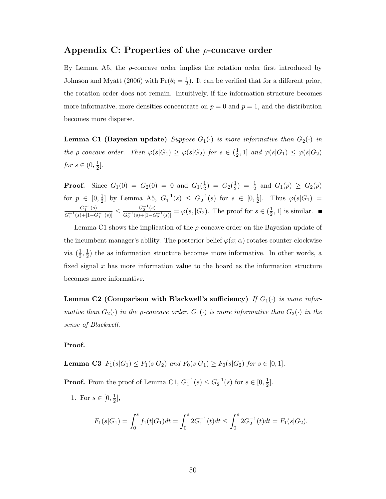### Appendix C: Properties of the  $\rho$ -concave order

By Lemma A5, the  $\rho$ -concave order implies the rotation order first introduced by Johnson and Myatt (2006) with  $Pr(\theta_i = \frac{1}{2})$  $\frac{1}{2}$ ). It can be verified that for a different prior, the rotation order does not remain. Intuitively, if the information structure becomes more informative, more densities concentrate on  $p = 0$  and  $p = 1$ , and the distribution becomes more disperse.

**Lemma C1 (Bayesian update)** Suppose  $G_1(\cdot)$  is more informative than  $G_2(\cdot)$  in the *ρ*-concave order. Then  $\varphi(s|G_1) \geq \varphi(s|G_2)$  for  $s \in (\frac{1}{2})$  $\frac{1}{2}$ , 1] and  $\varphi(s|G_1) \leq \varphi(s|G_2)$ for  $s \in (0, \frac{1}{2})$  $\frac{1}{2}$ .

**Proof.** Since  $G_1(0) = G_2(0) = 0$  and  $G_1(\frac{1}{2})$  $(\frac{1}{2}) = G_2(\frac{1}{2})$  $(\frac{1}{2}) = \frac{1}{2}$  and  $G_1(p) \ge G_2(p)$ for  $p \in [0, \frac{1}{2}]$  $\frac{1}{2}$  by Lemma A5,  $G_1^{-1}(s) \leq G_2^{-1}(s)$  for  $s \in [0, \frac{1}{2}]$  $\frac{1}{2}$ . Thus  $\varphi(s|G_1)$  =  $G_1^{-1}(s)$  $\frac{G_1^{-1}(s)}{G_1^{-1}(s) + [1 - G_1^{-1}(s)]} \le \frac{G_2^{-1}(s)}{G_2^{-1}(s) + [1 - G_1^{-1}(s)]}$  $\frac{G_2^{-1}(s)}{G_2^{-1}(s)+[1-G_2^{-1}(s)]} = \varphi(s, |G_2)$ . The proof for  $s \in (\frac{1}{2})$  $(\frac{1}{2}, 1]$  is similar.

Lemma C1 shows the implication of the  $\rho$ -concave order on the Bayesian update of the incumbent manager's ability. The posterior belief  $\varphi(x;\alpha)$  rotates counter-clockwise via  $(\frac{1}{2}, \frac{1}{2})$  $\frac{1}{2}$ ) the as information structure becomes more informative. In other words, a fixed signal  $x$  has more information value to the board as the information structure becomes more informative.

Lemma C2 (Comparison with Blackwell's sufficiency) If  $G_1(\cdot)$  is more informative than  $G_2(\cdot)$  in the p-concave order,  $G_1(\cdot)$  is more informative than  $G_2(\cdot)$  in the sense of Blackwell.

#### Proof.

**Lemma C3**  $F_1(s|G_1) \le F_1(s|G_2)$  and  $F_0(s|G_1) \ge F_0(s|G_2)$  for  $s \in [0,1]$ .

**Proof.** From the proof of Lemma C1,  $G_1^{-1}(s) \leq G_2^{-1}(s)$  for  $s \in [0, \frac{1}{2}]$  $\frac{1}{2}$ .

1. For  $s \in [0, \frac{1}{2}]$  $\frac{1}{2}$ ,

$$
F_1(s|G_1) = \int_0^s f_1(t|G_1)dt = \int_0^s 2G_1^{-1}(t)dt \le \int_0^s 2G_2^{-1}(t)dt = F_1(s|G_2).
$$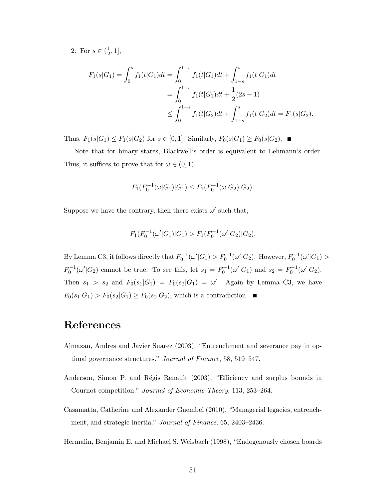2. For  $s \in (\frac{1}{2})$  $\frac{1}{2}, 1],$ 

$$
F_1(s|G_1) = \int_0^s f_1(t|G_1)dt = \int_0^{1-s} f_1(t|G_1)dt + \int_{1-s}^s f_1(t|G_1)dt
$$
  
= 
$$
\int_0^{1-s} f_1(t|G_1)dt + \frac{1}{2}(2s - 1)
$$
  

$$
\leq \int_0^{1-s} f_1(t|G_2)dt + \int_{1-s}^s f_1(t|G_2)dt = F_1(s|G_2).
$$

Thus,  $F_1(s|G_1) \le F_1(s|G_2)$  for  $s \in [0,1]$ . Similarly,  $F_0(s|G_1) \ge F_0(s|G_2)$ .

Note that for binary states, Blackwell's order is equivalent to Lehmann's order. Thus, it suffices to prove that for  $\omega \in (0,1)$ ,

$$
F_1(F_0^{-1}(\omega|G_1)|G_1) \le F_1(F_0^{-1}(\omega|G_2)|G_2).
$$

Suppose we have the contrary, then there exists  $\omega'$  such that,

$$
F_1(F_0^{-1}(\omega'|G_1)|G_1) > F_1(F_0^{-1}(\omega'|G_2)|G_2).
$$

By Lemma C3, it follows directly that  $F_0^{-1}(\omega'|G_1) > F_0^{-1}(\omega'|G_2)$ . However,  $F_0^{-1}(\omega'|G_1)$  $F_0^{-1}(\omega'|G_2)$  cannot be true. To see this, let  $s_1 = F_0^{-1}(\omega'|G_1)$  and  $s_2 = F_0^{-1}(\omega'|G_2)$ . Then  $s_1 > s_2$  and  $F_0(s_1|G_1) = F_0(s_2|G_1) = \omega'$ . Again by Lemma C3, we have  $F_0(s_1|G_1) > F_0(s_2|G_1) \ge F_0(s_2|G_2)$ , which is a contradiction.

# References

- Almazan, Andres and Javier Suarez (2003), "Entrenchment and severance pay in optimal governance structures." Journal of Finance, 58, 519-547.
- Anderson, Simon P. and Régis Renault (2003), "Efficiency and surplus bounds in Cournot competition." Journal of Economic Theory, 113, 253–264.
- Casamatta, Catherine and Alexander Guembel (2010), "Managerial legacies, entrenchment, and strategic inertia." Journal of Finance, 65, 2403–2436.

Hermalin, Benjamin E. and Michael S. Weisbach (1998), "Endogenously chosen boards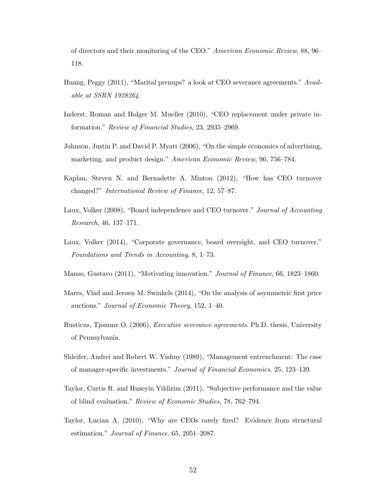of directors and their monitoring of the CEO." American Economic Review, 88, 96– 118.

- Huang, Peggy (2011), "Marital prenups? a look at CEO severance agreements." Available at SSRN 1928264.
- Inderst, Roman and Holger M. Mueller (2010), "CEO replacement under private information." Review of Financial Studies, 23, 2935–2969.
- Johnson, Justin P. and David P. Myatt (2006), "On the simple economics of advertising, marketing, and product design." American Economic Review, 96, 756–784.
- Kaplan, Steven N. and Bernadette A. Minton (2012), "How has CEO turnover changed?" International Review of Finance, 12, 57–87.
- Laux, Volker (2008), "Board independence and CEO turnover." Journal of Accounting Research, 46, 137–171.
- Laux, Volker (2014), "Corporate governance, board oversight, and CEO turnover." Foundations and Trends in Accounting, 8, 1–73.
- Manso, Gustavo (2011), "Motivating innovation." Journal of Finance, 66, 1823–1860.
- Mares, Vlad and Jeroen M. Swinkels (2014), "On the analysis of asymmetric first price auctions." Journal of Economic Theory, 152, 1–40.
- Rusticus, Tjomme O. (2006), Executive severance agreements. Ph.D. thesis, University of Pennsylvania.
- Shleifer, Andrei and Robert W. Vishny (1989), "Management entrenchment: The case of manager-specific investments." Journal of Financial Economics, 25, 123–139.
- Taylor, Curtis R. and Huseyin Yildirim (2011), "Subjective performance and the value of blind evaluation." Review of Economic Studies, 78, 762–794.
- Taylor, Lucian A. (2010), "Why are CEOs rarely fired? Evidence from structural estimation." Journal of Finance, 65, 2051–2087.